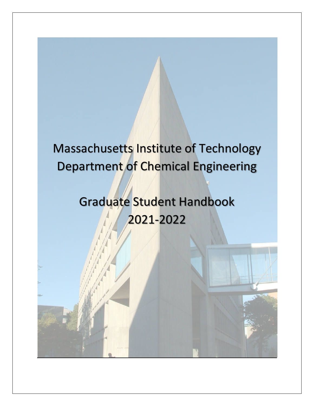# Massachusetts Institute of Technology Department of Chemical Engineering

# Graduate Student Handbook 2021-2022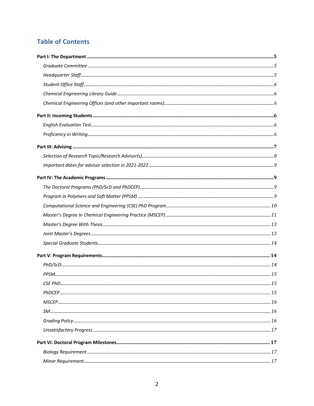### **Table of Contents**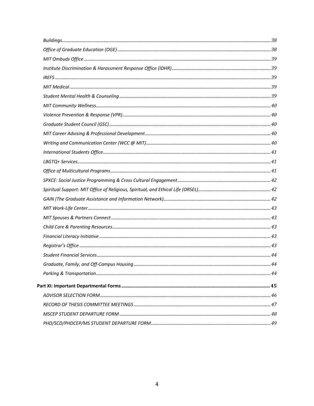| 44 |
|----|
|    |
|    |
|    |
|    |
|    |
|    |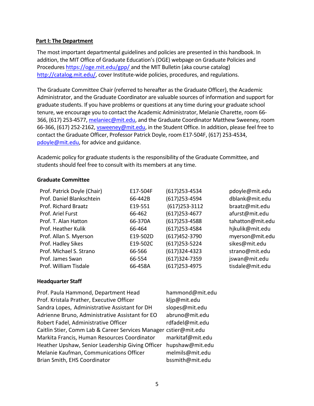#### **Part I: The Department**

The most important departmental guidelines and policies are presented in this handbook. In addition, the MIT Office of Graduate Education's (OGE) webpage on Graduate Policies and Procedures https://oge.mit.edu/gpp/ and the MIT Bulletin (aka course catalog) http://catalog.mit.edu/, cover Institute-wide policies, procedures, and regulations.

The Graduate Committee Chair (referred to hereafter as the Graduate Officer), the Academic Administrator, and the Graduate Coordinator are valuable sources of information and support for graduate students. If you have problems or questions at any time during your graduate school tenure, we encourage you to contact the Academic Administrator, Melanie Charette, room 66- 366, (617) 253-4577, melaniec@mit.edu, and the Graduate Coordinator Matthew Sweeney, room 66-366, (617) 252-2162, vsweeney@mit.edu, in the Student Office. In addition, please feel free to contact the Graduate Officer, Professor Patrick Doyle, room E17-504F, (617) 253-4534, pdoyle@mit.edu, for advice and guidance.

Academic policy for graduate students is the responsibility of the Graduate Committee, and students should feel free to consult with its members at any time.

#### **Graduate Committee**

| E17-504F | (617) 253-4534   | pdoyle@mit.edu   |
|----------|------------------|------------------|
| 66-442B  | (617) 253-4594   | dblank@mit.edu   |
| E19-551  | $(617)$ 253-3112 | braatz@mit.edu   |
| 66-462   | (617) 253-4677   | afurst@mit.edu   |
| 66-370A  | (617) 253-4588   | tahatton@mit.edu |
| 66-464   | (617) 253-4584   | hjkulik@mit.edu  |
| E19-502D | (617) 452-3790   | myerson@mit.edu  |
| E19-502C | (617) 253-5224   | sikes@mit.edu    |
| 66-566   | (617)324-4323    | strano@mit.edu   |
| 66-554   | (617)324-7359    | jswan@mit.edu    |
| 66-458A  | (617) 253-4975   | tisdale@mit.edu  |
|          |                  |                  |

#### **Headquarter Staff**

| Prof. Paula Hammond, Department Head                             | hammond@mit.edu  |
|------------------------------------------------------------------|------------------|
| Prof. Kristala Prather, Executive Officer                        | kljp@mit.edu     |
| Sandra Lopes, Administrative Assistant for DH                    | slopes@mit.edu   |
| Adrienne Bruno, Administrative Assistant for EO                  | abruno@mit.edu   |
| Robert Fadel, Administrative Officer                             | rdfadel@mit.edu  |
| Caitlin Stier, Comm Lab & Career Services Manager cstier@mit.edu |                  |
| Markita Francis, Human Resources Coordinator                     | markitaf@mit.edu |
| Heather Upshaw, Senior Leadership Giving Officer                 | hupshaw@mit.edu  |
| Melanie Kaufman, Communications Officer                          | melmils@mit.edu  |
| Brian Smith, EHS Coordinator                                     | bssmith@mit.edu  |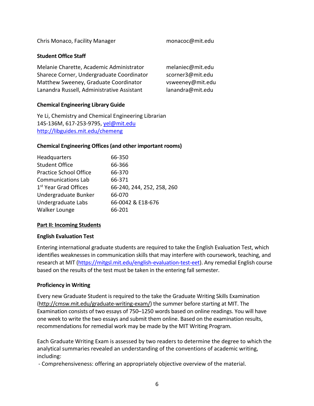Chris Monaco, Facility Manager monacoc@mit.edu

#### **Student Office Staff**

| Melanie Charette, Academic Administrator   | melaniec@mit.edu |
|--------------------------------------------|------------------|
| Sharece Corner, Undergraduate Coordinator  | scorner3@mit.edu |
| Matthew Sweeney, Graduate Coordinator      | vsweeney@mit.edu |
| Lanandra Russell, Administrative Assistant | lanandra@mit.edu |

#### **Chemical Engineering Library Guide**

Ye Li, Chemistry and Chemical Engineering Librarian 14S-136M, 617-253-9795, yel@mit.edu http://libguides.mit.edu/chemeng

#### **Chemical Engineering Offices (and other important rooms)**

| 66-240, 244, 252, 258, 260 |
|----------------------------|
|                            |
| 66-0042 & E18-676          |
|                            |
|                            |

#### **Part II: Incoming Students**

#### **English Evaluation Test**

Entering international graduate students are required to take the English Evaluation Test, which identifies weaknesses in communication skills that may interfere with coursework, teaching, and research at MIT (https://mitgsl.mit.edu/english-evaluation-test-eet). Any remedial English course based on the results of the test must be taken in the entering fall semester.

#### **Proficiency in Writing**

Every new Graduate Student is required to the take the Graduate Writing Skills Examination (http://cmsw.mit.edu/graduate-writing-exam/) the summer before starting at MIT. The Examination consists of two essays of 750–1250 words based on online readings. You will have one week to write the two essays and submit them online. Based on the examination results, recommendations for remedial work may be made by the MIT Writing Program.

Each Graduate Writing Exam is assessed by two readers to determine the degree to which the analytical summaries revealed an understanding of the conventions of academic writing, including:

- Comprehensiveness: offering an appropriately objective overview of the material.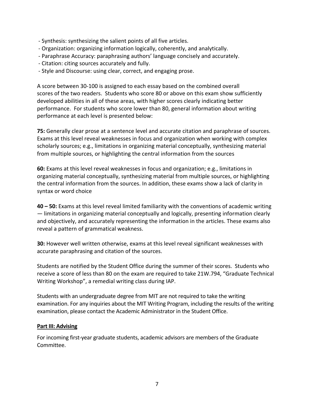- Synthesis: synthesizing the salient points of all five articles.
- Organization: organizing information logically, coherently, and analytically.
- Paraphrase Accuracy: paraphrasing authors' language concisely and accurately.
- Citation: citing sources accurately and fully.
- Style and Discourse: using clear, correct, and engaging prose.

A score between 30-100 is assigned to each essay based on the combined overall scores of the two readers. Students who score 80 or above on this exam show sufficiently developed abilities in all of these areas, with higher scores clearly indicating better performance. For students who score lower than 80, general information about writing performance at each level is presented below:

**75:** Generally clear prose at a sentence level and accurate citation and paraphrase of sources. Exams at this level reveal weaknesses in focus and organization when working with complex scholarly sources; e.g., limitations in organizing material conceptually, synthesizing material from multiple sources, or highlighting the central information from the sources

**60:** Exams at this level reveal weaknesses in focus and organization; e.g., limitations in organizing material conceptually, synthesizing material from multiple sources, or highlighting the central information from the sources. In addition, these exams show a lack of clarity in syntax or word choice

**40 – 50:** Exams at this level reveal limited familiarity with the conventions of academic writing — limitations in organizing material conceptually and logically, presenting information clearly and objectively, and accurately representing the information in the articles. These exams also reveal a pattern of grammatical weakness.

**30:** However well written otherwise, exams at this level reveal significant weaknesses with accurate paraphrasing and citation of the sources.

Students are notified by the Student Office during the summer of their scores. Students who receive a score of less than 80 on the exam are required to take 21W.794, "Graduate Technical Writing Workshop", a remedial writing class during IAP.

Students with an undergraduate degree from MIT are not required to take the writing examination. For any inquiries about the MIT Writing Program, including the results of the writing examination, please contact the Academic Administrator in the Student Office.

#### **Part III: Advising**

For incoming first-year graduate students, academic advisors are members of the Graduate Committee.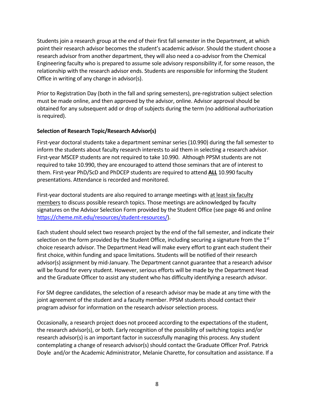Students join a research group at the end of their first fall semester in the Department, at which point their research advisor becomes the student's academic advisor. Should the student choose a research advisor from another department, they will also need a co-advisor from the Chemical Engineering faculty who is prepared to assume sole advisory responsibility if, for some reason, the relationship with the research advisor ends. Students are responsible for informing the Student Office in writing of any change in advisor(s).

Prior to Registration Day (both in the fall and spring semesters), pre-registration subject selection must be made online, and then approved by the advisor, online. Advisor approval should be obtained for any subsequent add or drop of subjects during the term (no additional authorization is required).

#### **Selection of Research Topic/Research Advisor(s)**

First-year doctoral students take a department seminar series (10.990) during the fall semester to inform the students about faculty research interests to aid them in selecting a research advisor. First-year MSCEP students are not required to take 10.990. Although PPSM students are not required to take 10.990, they are encouraged to attend those seminars that are of interest to them. First-year PhD/ScD and PhDCEP students are required to attend **ALL** 10.990 faculty presentations. Attendance is recorded and monitored.

First-year doctoral students are also required to arrange meetings with at least six faculty members to discuss possible research topics. Those meetings are acknowledged by faculty signatures on the Advisor Selection Form provided by the Student Office (see page 46 and online https://cheme.mit.edu/resources/student-resources/).

Each student should select two research project by the end of the fall semester, and indicate their selection on the form provided by the Student Office, including securing a signature from the 1<sup>st</sup> choice research advisor. The Department Head will make every effort to grant each student their first choice, within funding and space limitations. Students will be notified of their research advisor(s) assignment by mid-January. The Department cannot guarantee that a research advisor will be found for every student. However, serious efforts will be made by the Department Head and the Graduate Officer to assist any student who has difficulty identifying a research advisor.

For SM degree candidates, the selection of a research advisor may be made at any time with the joint agreement of the student and a faculty member. PPSM students should contact their program advisor for information on the research advisor selection process.

Occasionally, a research project does not proceed according to the expectations of the student, the research advisor(s), or both. Early recognition of the possibility of switching topics and/or research advisor(s) is an important factor in successfully managing this process. Any student contemplating a change of research advisor(s) should contact the Graduate Officer Prof. Patrick Doyle and/or the Academic Administrator, Melanie Charette, for consultation and assistance. If a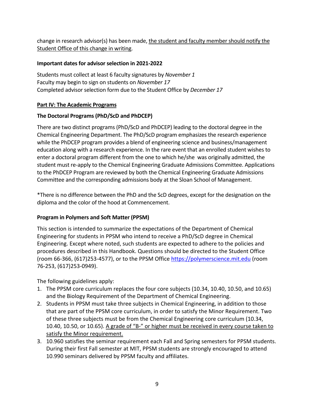change in research advisor(s) has been made, the student and faculty member should notify the Student Office of this change in writing.

#### **Important dates for advisor selection in 2021-2022**

Students must collect at least 6 faculty signatures by *November 1* Faculty may begin to sign on students on *November 17* Completed advisor selection form due to the Student Office by *December 17*

#### **Part IV: The Academic Programs**

#### **The Doctoral Programs (PhD/ScD and PhDCEP)**

There are two distinct programs (PhD/ScD and PhDCEP) leading to the doctoral degree in the Chemical Engineering Department. The PhD/ScD program emphasizes the research experience while the PhDCEP program provides a blend of engineering science and business/management education along with a research experience. In the rare event that an enrolled student wishes to enter a doctoral program different from the one to which he/she was originally admitted, the student must re-apply to the Chemical Engineering Graduate Admissions Committee. Applications to the PhDCEP Program are reviewed by both the Chemical Engineering Graduate Admissions Committee and the corresponding admissions body at the Sloan School of Management.

\*There is no difference between the PhD and the ScD degrees, except for the designation on the diploma and the color of the hood at Commencement.

#### **Program in Polymers and Soft Matter (PPSM)**

This section is intended to summarize the expectations of the Department of Chemical Engineering for students in PPSM who intend to receive a PhD/ScD degree in Chemical Engineering. Except where noted, such students are expected to adhere to the policies and procedures described in this Handbook. Questions should be directed to the Student Office (room 66-366, (617)253-4577), or to the PPSM Office https://polymerscience.mit.edu (room 76-253, (617)253-0949).

The following guidelines apply:

- 1. The PPSM core curriculum replaces the four core subjects (10.34, 10.40, 10.50, and 10.65) and the Biology Requirement of the Department of Chemical Engineering.
- 2. Students in PPSM must take three subjects in Chemical Engineering, in addition to those that are part of the PPSM core curriculum, in order to satisfy the Minor Requirement. Two of these three subjects must be from the Chemical Engineering core curriculum (10.34, 10.40, 10.50, or 10.65). A grade of "B-" or higher must be received in every course taken to satisfy the Minor requirement.
- 3. 10.960 satisfies the seminar requirement each Fall and Spring semesters for PPSM students. During their first Fall semester at MIT, PPSM students are strongly encouraged to attend 10.990 seminars delivered by PPSM faculty and affiliates.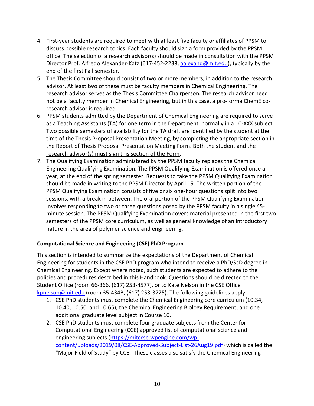- 4. First-year students are required to meet with at least five faculty or affiliates of PPSM to discuss possible research topics. Each faculty should sign a form provided by the PPSM office. The selection of a research advisor(s) should be made in consultation with the PPSM Director Prof. Alfredo Alexander-Katz (617-452-2238, aalexand@mit.edu), typically by the end of the first Fall semester.
- 5. The Thesis Committee should consist of two or more members, in addition to the research advisor. At least two of these must be faculty members in Chemical Engineering. The research advisor serves as the Thesis Committee Chairperson. The research advisor need not be a faculty member in Chemical Engineering, but in this case, a pro-forma ChemE coresearch advisor is required.
- 6. PPSM students admitted by the Department of Chemical Engineering are required to serve as a Teaching Assistants (TA) for one term in the Department, normally in a 10-XXX subject. Two possible semesters of availability for the TA draft are identified by the student at the time of the Thesis Proposal Presentation Meeting, by completing the appropriate section in the Report of Thesis Proposal Presentation Meeting Form. Both the student and the research advisor(s) must sign this section of the Form.
- 7. The Qualifying Examination administered by the PPSM faculty replaces the Chemical Engineering Qualifying Examination. The PPSM Qualifying Examination is offered once a year, at the end of the spring semester. Requests to take the PPSM Qualifying Examination should be made in writing to the PPSM Director by April 15. The written portion of the PPSM Qualifying Examination consists of five or six one-hour questions split into two sessions, with a break in between. The oral portion of the PPSM Qualifying Examination involves responding to two or three questions posed by the PPSM faculty in a single 45 minute session. The PPSM Qualifying Examination covers material presented in the first two semesters of the PPSM core curriculum, as well as general knowledge of an introductory nature in the area of polymer science and engineering.

#### **Computational Science and Engineering (CSE) PhD Program**

This section is intended to summarize the expectations of the Department of Chemical Engineering for students in the CSE PhD program who intend to receive a PhD/ScD degree in Chemical Engineering. Except where noted, such students are expected to adhere to the policies and procedures described in this Handbook. Questions should be directed to the Student Office (room 66-366, (617) 253-4577), or to Kate Nelson in the CSE Office kpnelson@mit.edu (room 35-434B, (617) 253-3725). The following guidelines apply:

- 1. CSE PhD students must complete the Chemical Engineering core curriculum (10.34, 10.40, 10.50, and 10.65), the Chemical Engineering Biology Requirement, and one additional graduate level subject in Course 10.
- 2. CSE PhD students must complete four graduate subjects from the Center for Computational Engineering (CCE) approved list of computational science and engineering subjects (https://mitccse.wpengine.com/wpcontent/uploads/2019/08/CSE-Approved-Subject-List-26Aug19.pdf) which is called the "Major Field of Study" by CCE. These classes also satisfy the Chemical Engineering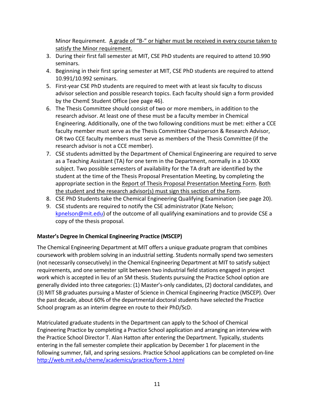Minor Requirement. A grade of "B-" or higher must be received in every course taken to satisfy the Minor requirement.

- 3. During their first fall semester at MIT, CSE PhD students are required to attend 10.990 seminars.
- 4. Beginning in their first spring semester at MIT, CSE PhD students are required to attend 10.991/10.992 seminars.
- 5. First-year CSE PhD students are required to meet with at least six faculty to discuss advisor selection and possible research topics. Each faculty should sign a form provided by the ChemE Student Office (see page 46).
- 6. The Thesis Committee should consist of two or more members, in addition to the research advisor. At least one of these must be a faculty member in Chemical Engineering. Additionally, one of the two following conditions must be met: either a CCE faculty member must serve as the Thesis Committee Chairperson & Research Advisor, OR two CCE faculty members must serve as members of the Thesis Committee (if the research advisor is not a CCE member).
- 7. CSE students admitted by the Department of Chemical Engineering are required to serve as a Teaching Assistant (TA) for one term in the Department, normally in a 10-XXX subject. Two possible semesters of availability for the TA draft are identified by the student at the time of the Thesis Proposal Presentation Meeting, by completing the appropriate section in the Report of Thesis Proposal Presentation Meeting Form. Both the student and the research advisor(s) must sign this section of the Form.
- 8. CSE PhD Students take the Chemical Engineering Qualifying Examination (see page 20).
- 9. CSE students are required to notify the CSE administrator (Kate Nelson; kpnelson@mit.edu) of the outcome of all qualifying examinations and to provide CSE a copy of the thesis proposal.

#### **Master's Degree In Chemical Engineering Practice (MSCEP)**

The Chemical Engineering Department at MIT offers a unique graduate program that combines coursework with problem solving in an industrial setting. Students normally spend two semesters (not necessarily consecutively) in the Chemical Engineering Department at MIT to satisfy subject requirements, and one semester split between two industrial field stations engaged in project work which is accepted in lieu of an SM thesis. Students pursuing the Practice School option are generally divided into three categories: (1) Master's-only candidates, (2) doctoral candidates, and (3) MIT SB graduates pursuing a Master of Science in Chemical Engineering Practice (MSCEP). Over the past decade, about 60% of the departmental doctoral students have selected the Practice School program as an interim degree en route to their PhD/ScD.

Matriculated graduate students in the Department can apply to the School of Chemical Engineering Practice by completing a Practice School application and arranging an interview with the Practice School Director T. Alan Hatton after entering the Department. Typically, students entering in the fall semester complete their application by December 1 for placement in the following summer, fall, and spring sessions. Practice School applications can be completed on-line http://web.mit.edu/cheme/academics/practice/form-1.html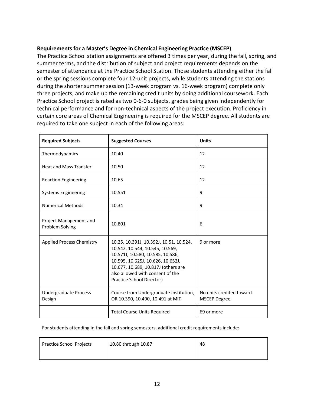#### **Requirements for a Master's Degree in Chemical Engineering Practice (MSCEP)**

The Practice School station assignments are offered 3 times per year, during the fall, spring, and summer terms, and the distribution of subject and project requirements depends on the semester of attendance at the Practice School Station. Those students attending either the fall or the spring sessions complete four 12-unit projects, while students attending the stations during the shorter summer session (13-week program vs. 16-week program) complete only three projects, and make up the remaining credit units by doing additional coursework. Each Practice School project is rated as two 0-6-0 subjects, grades being given independently for technical performance and for non-technical aspects of the project execution. Proficiency in certain core areas of Chemical Engineering is required for the MSCEP degree. All students are required to take one subject in each of the following areas:

| <b>Required Subjects</b>                  | <b>Suggested Courses</b>                                                                                                                                                                                                                                    | <b>Units</b>                                    |
|-------------------------------------------|-------------------------------------------------------------------------------------------------------------------------------------------------------------------------------------------------------------------------------------------------------------|-------------------------------------------------|
| Thermodynamics                            | 10.40                                                                                                                                                                                                                                                       | 12                                              |
| <b>Heat and Mass Transfer</b>             | 10.50                                                                                                                                                                                                                                                       | 12                                              |
| <b>Reaction Engineering</b>               | 10.65                                                                                                                                                                                                                                                       | 12                                              |
| <b>Systems Engineering</b>                | 10.551                                                                                                                                                                                                                                                      | 9                                               |
| <b>Numerical Methods</b>                  | 10.34                                                                                                                                                                                                                                                       | 9                                               |
| Project Management and<br>Problem Solving | 10.801                                                                                                                                                                                                                                                      | 6                                               |
| <b>Applied Process Chemistry</b>          | 10.25, 10.391J, 10.392J, 10.51, 10.524,<br>10.542, 10.544, 10.545, 10.569,<br>10.571J, 10.580, 10.585, 10.586,<br>10.595, 10.625J, 10.626, 10.652J,<br>10.677, 10.689, 10.817J (others are<br>also allowed with consent of the<br>Practice School Director) | 9 or more                                       |
| <b>Undergraduate Process</b><br>Design    | Course from Undergraduate Institution,<br>OR 10.390, 10.490, 10.491 at MIT                                                                                                                                                                                  | No units credited toward<br><b>MSCEP Degree</b> |
|                                           | <b>Total Course Units Required</b>                                                                                                                                                                                                                          | 69 or more                                      |

For students attending in the fall and spring semesters, additional credit requirements include:

| <b>Practice School Projects</b> | 10.80 through 10.87 | 48 |
|---------------------------------|---------------------|----|
|                                 |                     |    |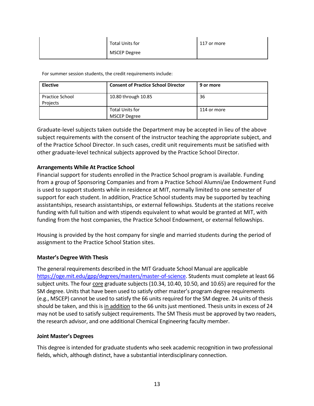| Total Units for | 117 or more |
|-----------------|-------------|
| MSCEP Degree    |             |

For summer session students, the credit requirements include:

| <b>Elective</b>                    | <b>Consent of Practice School Director</b> | 9 or more   |
|------------------------------------|--------------------------------------------|-------------|
| <b>Practice School</b><br>Projects | 10.80 through 10.85                        | 36          |
|                                    | <b>Total Units for</b><br>MSCEP Degree     | 114 or more |

Graduate-level subjects taken outside the Department may be accepted in lieu of the above subject requirements with the consent of the instructor teaching the appropriate subject, and of the Practice School Director. In such cases, credit unit requirements must be satisfied with other graduate-level technical subjects approved by the Practice School Director.

#### **Arrangements While At Practice School**

Financial support for students enrolled in the Practice School program is available. Funding from a group of Sponsoring Companies and from a Practice School Alumni/ae Endowment Fund is used to support students while in residence at MIT, normally limited to one semester of support for each student. In addition, Practice School students may be supported by teaching assistantships, research assistantships, or external fellowships. Students at the stations receive funding with full tuition and with stipends equivalent to what would be granted at MIT, with funding from the host companies, the Practice School Endowment, or external fellowships.

Housing is provided by the host company for single and married students during the period of assignment to the Practice School Station sites.

#### **Master's Degree With Thesis**

The general requirements described in the MIT Graduate School Manual are applicable https://oge.mit.edu/gpp/degrees/masters/master-of-science. Students must complete at least 66 subject units. The four core graduate subjects (10.34, 10.40, 10.50, and 10.65) are required for the SM degree. Units that have been used to satisfy other master's program degree requirements (e.g., MSCEP) cannot be used to satisfy the 66 units required for the SM degree. 24 units of thesis should be taken, and this is in addition to the 66 units just mentioned. Thesis units in excess of 24 may not be used to satisfy subject requirements. The SM Thesis must be approved by two readers, the research advisor, and one additional Chemical Engineering faculty member.

#### **Joint Master's Degrees**

This degree is intended for graduate students who seek academic recognition in two professional fields, which, although distinct, have a substantial interdisciplinary connection.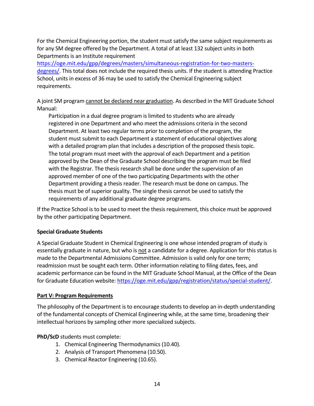For the Chemical Engineering portion, the student must satisfy the same subject requirements as for any SM degree offered by the Department. A total of at least 132 subject units in both Departments is an Institute requirement

https://oge.mit.edu/gpp/degrees/masters/simultaneous-registration-for-two-mastersdegrees/. This total does not include the required thesis units. If the student is attending Practice School, units in excess of 36 may be used to satisfy the Chemical Engineering subject requirements.

A joint SM program cannot be declared near graduation. As described in the MIT Graduate School Manual:

Participation in a dual degree program is limited to students who are already registered in one Department and who meet the admissions criteria in the second Department. At least two regular terms prior to completion of the program, the student must submit to each Department a statement of educational objectives along with a detailed program plan that includes a description of the proposed thesis topic. The total program must meet with the approval of each Department and a petition approved by the Dean of the Graduate School describing the program must be filed with the Registrar. The thesis research shall be done under the supervision of an approved member of one of the two participating Departments with the other Department providing a thesis reader. The research must be done on campus. The thesis must be of superior quality. The single thesis cannot be used to satisfy the requirements of any additional graduate degree programs.

If the Practice School is to be used to meet the thesis requirement, this choice must be approved by the other participating Department.

#### **Special Graduate Students**

A Special Graduate Student in Chemical Engineering is one whose intended program of study is essentially graduate in nature, but who is not a candidate for a degree. Application for this status is made to the Departmental Admissions Committee. Admission is valid only for one term; readmission must be sought each term. Other information relating to filing dates, fees, and academic performance can be found in the MIT Graduate School Manual, at the Office of the Dean for Graduate Education website: https://oge.mit.edu/gpp/registration/status/special-student/.

#### **Part V: Program Requirements**

The philosophy of the Department is to encourage students to develop an in-depth understanding of the fundamental concepts of Chemical Engineering while, at the same time, broadening their intellectual horizons by sampling other more specialized subjects.

#### **PhD/ScD** students must complete:

- 1. Chemical Engineering Thermodynamics (10.40).
- 2. Analysis of Transport Phenomena (10.50).
- 3. Chemical Reactor Engineering (10.65).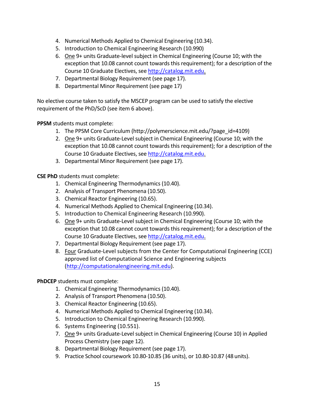- 4. Numerical Methods Applied to Chemical Engineering (10.34).
- 5. Introduction to Chemical Engineering Research (10.990)
- 6. One 9+ units Graduate-level subject in Chemical Engineering (Course 10; with the exception that 10.08 cannot count towards this requirement); for a description of the Course 10 Graduate Electives, see http://catalog.mit.edu.
- 7. Departmental Biology Requirement (see page 17).
- 8. Departmental Minor Requirement (see page 17)

No elective course taken to satisfy the MSCEP program can be used to satisfy the elective requirement of the PhD/ScD (see item 6 above).

**PPSM** students must complete:

- 1. The PPSM Core Curriculum (http://polymerscience.mit.edu/?page\_id=4109)
- 2. One 9+ units Graduate-Level subject in Chemical Engineering (Course 10; with the exception that 10.08 cannot count towards this requirement); for a description of the Course 10 Graduate Electives, see http://catalog.mit.edu.
- 3. Departmental Minor Requirement (see page 17).

**CSE PhD** students must complete:

- 1. Chemical Engineering Thermodynamics (10.40).
- 2. Analysis of Transport Phenomena (10.50).
- 3. Chemical Reactor Engineering (10.65).
- 4. Numerical Methods Applied to Chemical Engineering (10.34).
- 5. Introduction to Chemical Engineering Research (10.990).
- 6. One 9+ units Graduate-Level subject in Chemical Engineering (Course 10; with the exception that 10.08 cannot count towards this requirement); for a description of the Course 10 Graduate Electives, see http://catalog.mit.edu.
- 7. Departmental Biology Requirement (see page 17).
- 8. Four Graduate-Level subjects from the Center for Computational Engineering (CCE) approved list of Computational Science and Engineering subjects (http://computationalengineering.mit.edu).

#### **PhDCEP** students must complete:

- 1. Chemical Engineering Thermodynamics (10.40).
- 2. Analysis of Transport Phenomena (10.50).
- 3. Chemical Reactor Engineering (10.65).
- 4. Numerical Methods Applied to Chemical Engineering (10.34).
- 5. Introduction to Chemical Engineering Research (10.990).
- 6. Systems Engineering (10.551).
- 7. One 9+ units Graduate-Level subject in Chemical Engineering (Course 10) in Applied Process Chemistry (see page 12).
- 8. Departmental Biology Requirement (see page 17).
- 9. Practice School coursework 10.80-10.85 (36 units), or 10.80-10.87 (48 units).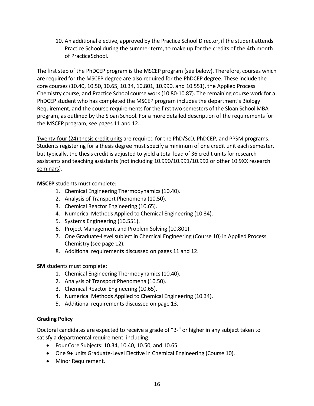10. An additional elective, approved by the Practice School Director, if the student attends Practice School during the summer term, to make up for the credits of the 4th month of PracticeSchool.

The first step of the PhDCEP program is the MSCEP program (see below). Therefore, courses which are required for the MSCEP degree are also required for the PhDCEP degree. These include the core courses (10.40, 10.50, 10.65, 10.34, 10.801, 10.990, and 10.551), the Applied Process Chemistry course, and Practice School course work (10.80-10.87). The remaining course work for a PhDCEP student who has completed the MSCEP program includes the department's Biology Requirement, and the course requirements for the first two semesters of the Sloan School MBA program, as outlined by the Sloan School. For a more detailed description of the requirements for the MSCEP program, see pages 11 and 12.

Twenty-four (24) thesis credit units are required for the PhD/ScD, PhDCEP, and PPSM programs. Students registering for a thesis degree must specify a minimum of one credit unit each semester, but typically, the thesis credit is adjusted to yield a total load of 36 credit units for research assistants and teaching assistants (not including 10.990/10.991/10.992 or other 10.9XX research seminars).

**MSCEP** students must complete:

- 1. Chemical Engineering Thermodynamics (10.40).
- 2. Analysis of Transport Phenomena (10.50).
- 3. Chemical Reactor Engineering (10.65).
- 4. Numerical Methods Applied to Chemical Engineering (10.34).
- 5. Systems Engineering (10.551).
- 6. Project Management and Problem Solving (10.801).
- 7. One Graduate-Level subject in Chemical Engineering (Course 10) in Applied Process Chemistry (see page 12).
- 8. Additional requirements discussed on pages 11 and 12.

**SM** students must complete:

- 1. Chemical Engineering Thermodynamics (10.40).
- 2. Analysis of Transport Phenomena (10.50).
- 3. Chemical Reactor Engineering (10.65).
- 4. Numerical Methods Applied to Chemical Engineering (10.34).
- 5. Additional requirements discussed on page 13.

#### **Grading Policy**

Doctoral candidates are expected to receive a grade of "B-" or higher in any subject taken to satisfy a departmental requirement, including:

- Four Core Subjects: 10.34, 10.40, 10.50, and 10.65.
- One 9+ units Graduate-Level Elective in Chemical Engineering (Course 10).
- Minor Requirement.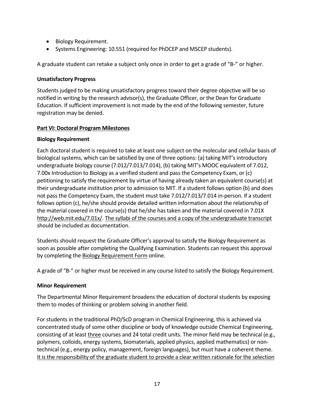- Biology Requirement.
- Systems Engineering: 10.551 (required for PhDCEP and MSCEP students).

A graduate student can retake a subject only once in order to get a grade of "B-" or higher.

#### **Unsatisfactory Progress**

Students judged to be making unsatisfactory progress toward their degree objective will be so notified in writing by the research advisor(s), the Graduate Officer, or the Dean for Graduate Education. If sufficient improvement is not made by the end of the following semester, future registration may be denied.

#### **Part VI: Doctoral Program Milestones**

#### **Biology Requirement**

Each doctoral student is required to take at least one subject on the molecular and cellular basis of biological systems, which can be satisfied by one of three options: (a) taking MIT's introductory undergraduate biology course (7.012/7.013/7.014), (b) taking MIT's MOOC equivalent of 7.012, 7.00x Introduction to Biology as a verified student and pass the Competency Exam, or (c) petitioning to satisfy the requirement by virtue of having already taken an equivalent course(s) at their undergraduate institution prior to admission to MIT. If a student follows option (b) and does not pass the Competency Exam, the student must take 7.012/7.013/7.014 in-person. If a student follows option (c), he/she should provide detailed written information about the relationship of the material covered in the course(s) that he/she has taken and the material covered in 7.01X http://web.mit.edu/7.01x/. The syllabi of the courses and a copy of the undergraduate transcript should be included as documentation.

Students should request the Graduate Officer's approval to satisfy the Biology Requirement as soon as possible after completing the Qualifying Examination. Students can request this approval by completing the Biology Requirement Form online.

A grade of "B-" or higher must be received in any course listed to satisfy the Biology Requirement.

#### **Minor Requirement**

The Departmental Minor Requirement broadens the education of doctoral students by exposing them to modes of thinking or problem solving in another field.

For students in the traditional PhD/ScD program in Chemical Engineering, this is achieved via concentrated study of some other discipline or body of knowledge outside Chemical Engineering, consisting of at least three courses and 24 total credit units. The minor field may be technical (e.g., polymers, colloids, energy systems, biomaterials, applied physics, applied mathematics) or nontechnical (e.g., energy policy, management, foreign languages), but must have a coherent theme. It is the responsibility of the graduate student to provide a clear written rationale for the selection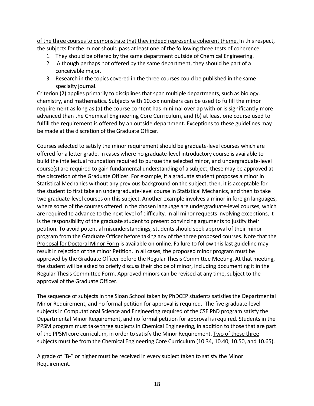of the three courses to demonstrate that they indeed represent a coherent theme. In this respect, the subjects for the minor should pass at least one of the following three tests of coherence:

- 1. They should be offered by the same department outside of Chemical Engineering.
- 2. Although perhaps not offered by the same department, they should be part of a conceivable major.
- 3. Research in the topics covered in the three courses could be published in the same specialty journal.

Criterion (2) applies primarily to disciplines that span multiple departments, such as biology, chemistry, and mathematics. Subjects with 10.xxx numbers can be used to fulfill the minor requirement as long as (a) the course content has minimal overlap with or is significantly more advanced than the Chemical Engineering Core Curriculum, and (b) at least one course used to fulfill the requirement is offered by an outside department. Exceptions to these guidelines may be made at the discretion of the Graduate Officer.

Courses selected to satisfy the minor requirement should be graduate-level courses which are offered for a letter grade. In cases where no graduate-level introductory course is available to build the intellectual foundation required to pursue the selected minor, and undergraduate-level course(s) are required to gain fundamental understanding of a subject, these may be approved at the discretion of the Graduate Officer. For example, if a graduate student proposes a minor in Statistical Mechanics without any previous background on the subject, then, it is acceptable for the student to first take an undergraduate-level course in Statistical Mechanics, and then to take two graduate-level courses on this subject. Another example involves a minor in foreign languages, where some of the courses offered in the chosen language are undergraduate-level courses, which are required to advance to the next level of difficulty. In all minor requests involving exceptions, it is the responsibility of the graduate student to present convincing arguments to justify their petition. To avoid potential misunderstandings, students should seek approval of their minor program from the Graduate Officer before taking any of the three proposed courses. Note that the Proposal for Doctoral Minor Form is available on online. Failure to follow this last guideline may result in rejection of the minor Petition. In all cases, the proposed minor program must be approved by the Graduate Officer before the Regular Thesis Committee Meeting. At that meeting, the student will be asked to briefly discuss their choice of minor, including documenting it in the Regular Thesis Committee Form. Approved minors can be revised at any time, subject to the approval of the Graduate Officer.

The sequence of subjects in the Sloan School taken by PhDCEP students satisfies the Departmental Minor Requirement, and no formal petition for approval is required. The five graduate-level subjects in Computational Science and Engineering required of the CSE PhD program satisfy the Departmental Minor Requirement, and no formal petition for approval is required. Students in the PPSM program must take three subjects in Chemical Engineering, in addition to those that are part of the PPSM core curriculum, in order to satisfy the Minor Requirement. Two of these three subjects must be from the Chemical Engineering Core Curriculum (10.34, 10.40, 10.50, and 10.65).

A grade of "B-" or higher must be received in every subject taken to satisfy the Minor Requirement.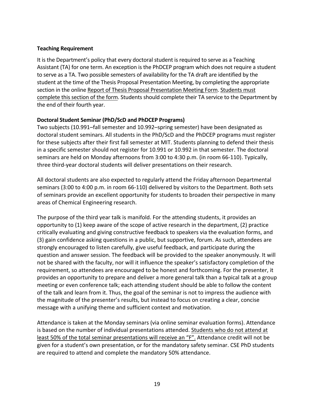#### **Teaching Requirement**

It is the Department's policy that every doctoral student is required to serve as a Teaching Assistant (TA) for one term. An exception is the PhDCEP program which does not require a student to serve as a TA. Two possible semesters of availability for the TA draft are identified by the student at the time of the Thesis Proposal Presentation Meeting, by completing the appropriate section in the online Report of Thesis Proposal Presentation Meeting Form. Students must complete this section of the form. Students should complete their TA service to the Department by the end of their fourth year.

#### **Doctoral Student Seminar (PhD/ScD and PhDCEP Programs)**

Two subjects (10.991–fall semester and 10.992–spring semester) have been designated as doctoral student seminars. All students in the PhD/ScD and the PhDCEP programs must register for these subjects after their first fall semester at MIT. Students planning to defend their thesis in a specific semester should not register for 10.991 or 10.992 in that semester. The doctoral seminars are held on Monday afternoons from 3:00 to 4:30 p.m. (in room 66-110). Typically, three third-year doctoral students will deliver presentations on their research.

All doctoral students are also expected to regularly attend the Friday afternoon Departmental seminars (3:00 to 4:00 p.m. in room 66-110) delivered by visitors to the Department. Both sets of seminars provide an excellent opportunity for students to broaden their perspective in many areas of Chemical Engineering research.

The purpose of the third year talk is manifold. For the attending students, it provides an opportunity to (1) keep aware of the scope of active research in the department, (2) practice critically evaluating and giving constructive feedback to speakers via the evaluation forms, and (3) gain confidence asking questions in a public, but supportive, forum. As such, attendees are strongly encouraged to listen carefully, give useful feedback, and participate during the question and answer session. The feedback will be provided to the speaker anonymously. It will not be shared with the faculty, nor will it influence the speaker's satisfactory completion of the requirement, so attendees are encouraged to be honest and forthcoming. For the presenter, it provides an opportunity to prepare and deliver a more general talk than a typical talk at a group meeting or even conference talk; each attending student should be able to follow the content of the talk and learn from it. Thus, the goal of the seminar is not to impress the audience with the magnitude of the presenter's results, but instead to focus on creating a clear, concise message with a unifying theme and sufficient context and motivation.

Attendance is taken at the Monday seminars (via online seminar evaluation forms). Attendance is based on the number of individual presentations attended. Students who do not attend at least 50% of the total seminar presentations will receive an "F". Attendance credit will not be given for a student's own presentation, or for the mandatory safety seminar. CSE PhD students are required to attend and complete the mandatory 50% attendance.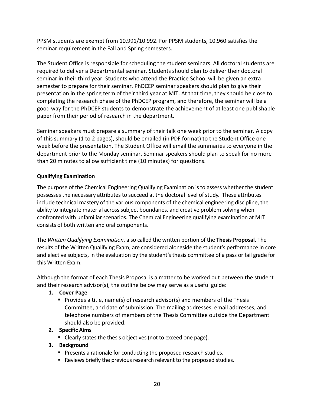PPSM students are exempt from 10.991/10.992. For PPSM students, 10.960 satisfies the seminar requirement in the Fall and Spring semesters.

The Student Office is responsible for scheduling the student seminars. All doctoral students are required to deliver a Departmental seminar. Students should plan to deliver their doctoral seminar in their third year. Students who attend the Practice School will be given an extra semester to prepare for their seminar. PhDCEP seminar speakers should plan to give their presentation in the spring term of their third year at MIT. At that time, they should be close to completing the research phase of the PhDCEP program, and therefore, the seminar will be a good way for the PhDCEP students to demonstrate the achievement of at least one publishable paper from their period of research in the department.

Seminar speakers must prepare a summary of their talk one week prior to the seminar. A copy of this summary (1 to 2 pages), should be emailed (in PDF format) to the Student Office one week before the presentation. The Student Office will email the summaries to everyone in the department prior to the Monday seminar. Seminar speakers should plan to speak for no more than 20 minutes to allow sufficient time (10 minutes) for questions.

#### **Qualifying Examination**

The purpose of the Chemical Engineering Qualifying Examination is to assess whether the student possesses the necessary attributes to succeed at the doctoral level of study. These attributes include technical mastery of the various components of the chemical engineering discipline, the ability to integrate material across subject boundaries, and creative problem solving when confronted with unfamiliar scenarios. The Chemical Engineering qualifying examination at MIT consists of both written and oral components.

The *Written Qualifying Examination*, also called the written portion of the **Thesis Proposal**. The results of the Written Qualifying Exam, are considered alongside the student's performance in core and elective subjects, in the evaluation by the student's thesis committee of a pass or fail grade for this Written Exam.

Although the format of each Thesis Proposal is a matter to be worked out between the student and their research advisor(s), the outline below may serve as a useful guide:

#### **1. Cover Page**

■ Provides a title, name(s) of research advisor(s) and members of the Thesis Committee, and date of submission. The mailing addresses, email addresses, and telephone numbers of members of the Thesis Committee outside the Department should also be provided.

#### **2. Specific Aims**

■ Clearly states the thesis objectives (not to exceed one page).

#### **3. Background**

- Presents a rationale for conducting the proposed research studies.
- Reviews briefly the previous research relevant to the proposed studies.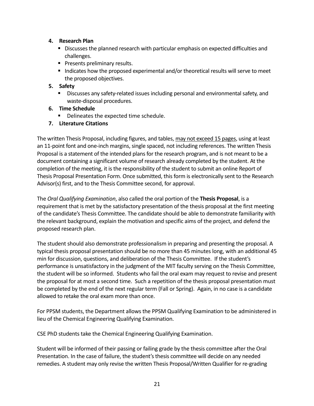#### **4. Research Plan**

- Discusses the planned research with particular emphasis on expected difficulties and challenges.
- Presents preliminary results.
- Indicates how the proposed experimental and/or theoretical results will serve to meet the proposed objectives.

#### **5. Safety**

- § Discusses any safety-related issues including personal and environmental safety, and waste-disposal procedures.
- **6. Time Schedule**
	- Delineates the expected time schedule.
- **7. Literature Citations**

The written Thesis Proposal, including figures, and tables, may not exceed 15 pages, using at least an 11-point font and one-inch margins, single spaced, not including references. The written Thesis Proposal is a statement of the intended plans for the research program, and is not meant to be a document containing a significant volume of research already completed by the student. At the completion of the meeting, it is the responsibility of the student to submit an online Report of Thesis Proposal Presentation Form. Once submitted, this form is electronically sent to the Research Advisor(s) first, and to the Thesis Committee second, for approval.

The *Oral Qualifying Examination*, also called the oral portion of the **Thesis Proposal**, is a requirement that is met by the satisfactory presentation of the thesis proposal at the first meeting of the candidate's Thesis Committee. The candidate should be able to demonstrate familiarity with the relevant background, explain the motivation and specific aims of the project, and defend the proposed research plan.

The student should also demonstrate professionalism in preparing and presenting the proposal. A typical thesis proposal presentation should be no more than 45 minutes long, with an additional 45 min for discussion, questions, and deliberation of the Thesis Committee. If the student's performance is unsatisfactory in the judgment of the MIT faculty serving on the Thesis Committee, the student will be so informed. Students who fail the oral exam may request to revise and present the proposal for at most a second time. Such a repetition of the thesis proposal presentation must be completed by the end of the next regular term (Fall or Spring). Again, in no case is a candidate allowed to retake the oral exam more than once.

For PPSM students, the Department allows the PPSM Qualifying Examination to be administered in lieu of the Chemical Engineering Qualifying Examination.

CSE PhD students take the Chemical Engineering Qualifying Examination.

Student will be informed of their passing or failing grade by the thesis committee after the Oral Presentation. In the case of failure, the student's thesis committee will decide on any needed remedies. A student may only revise the written Thesis Proposal/Written Qualifier for re-grading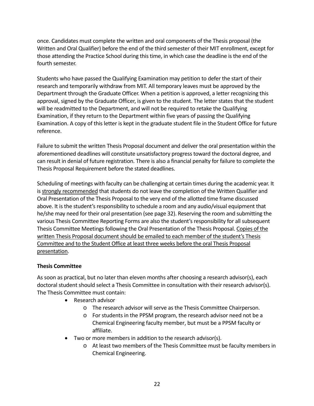once. Candidates must complete the written and oral components of the Thesis proposal (the Written and Oral Qualifier) before the end of the third semester of their MIT enrollment, except for those attending the Practice School during this time, in which case the deadline is the end of the fourth semester.

Students who have passed the Qualifying Examination may petition to defer the start of their research and temporarily withdraw from MIT. All temporary leaves must be approved by the Department through the Graduate Officer. When a petition is approved, a letter recognizing this approval, signed by the Graduate Officer, is given to the student. The letter states that the student will be readmitted to the Department, and will not be required to retake the Qualifying Examination, if they return to the Department within five years of passing the Qualifying Examination. A copy of this letter is kept in the graduate student file in the Student Office for future reference.

Failure to submit the written Thesis Proposal document and deliver the oral presentation within the aforementioned deadlines will constitute unsatisfactory progress toward the doctoral degree, and can result in denial of future registration. There is also a financial penalty for failure to complete the Thesis Proposal Requirement before the stated deadlines.

Scheduling of meetings with faculty can be challenging at certain times during the academic year. It is strongly recommended that students do not leave the completion of the Written Qualifier and Oral Presentation of the Thesis Proposal to the very end of the allotted time frame discussed above. It is the student's responsibility to schedule a room and any audio/visual equipment that he/she may need for their oral presentation (see page 32). Reserving the room and submitting the various Thesis Committee Reporting Forms are also the student's responsibility for all subsequent Thesis Committee Meetings following the Oral Presentation of the Thesis Proposal. Copies of the written Thesis Proposal document should be emailed to each member of the student's Thesis Committee and to the Student Office at least three weeks before the oral Thesis Proposal presentation.

#### **Thesis Committee**

As soon as practical, but no later than eleven months after choosing a research advisor(s), each doctoral student should select a Thesis Committee in consultation with their research advisor(s). The Thesis Committee must contain:

- Research advisor
	- o The research advisor will serve as the Thesis Committee Chairperson.
	- o For students in the PPSM program, the research advisor need not be a Chemical Engineering faculty member, but must be a PPSM faculty or affiliate.
- Two or more members in addition to the research advisor(s).
	- o At least two members of the Thesis Committee must be faculty members in Chemical Engineering.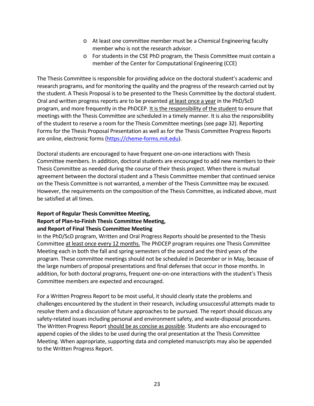- o At least one committee member must be a Chemical Engineering faculty member who is not the research advisor.
- o For students in the CSE PhD program, the Thesis Committee must contain a member of the Center for Computational Engineering (CCE)

The Thesis Committee is responsible for providing advice on the doctoral student's academic and research programs, and for monitoring the quality and the progress of the research carried out by the student. A Thesis Proposal is to be presented to the Thesis Committee by the doctoral student. Oral and written progress reports are to be presented at least once a year in the PhD/ScD program, and more frequently in the PhDCEP. It is the responsibility of the student to ensure that meetings with the Thesis Committee are scheduled in a timely manner. It is also the responsibility of the student to reserve a room for the Thesis Committee meetings (see page 32). Reporting Forms for the Thesis Proposal Presentation as well as for the Thesis Committee Progress Reports are online, electronic forms (https://cheme-forms.mit.edu).

Doctoral students are encouraged to have frequent one-on-one interactions with Thesis Committee members. In addition, doctoral students are encouraged to add new members to their Thesis Committee as needed during the course of their thesis project. When there is mutual agreement between the doctoral student and a Thesis Committee member that continued service on the Thesis Committee is not warranted, a member of the Thesis Committee may be excused. However, the requirements on the composition of the Thesis Committee, as indicated above, must be satisfied at all times.

#### **Report of Regular Thesis Committee Meeting, Report of Plan-to-Finish Thesis Committee Meeting, and Report of Final Thesis Committee Meeting**

In the PhD/ScD program, Written and Oral Progress Reports should be presented to the Thesis Committee at least once every 12 months. The PhDCEP program requires one Thesis Committee Meeting each in both the fall and spring semesters of the second and the third years of the program. These committee meetings should not be scheduled in December or in May, because of the large numbers of proposal presentations and final defenses that occur in those months. In addition, for both doctoral programs, frequent one-on-one interactions with the student's Thesis Committee members are expected and encouraged.

For a Written Progress Report to be most useful, it should clearly state the problems and challenges encountered by the student in their research, including unsuccessful attempts made to resolve them and a discussion of future approaches to be pursued. The report should discuss any safety-related issues including personal and environment safety, and waste-disposal procedures. The Written Progress Report should be as concise as possible. Students are also encouraged to append copies of the slides to be used during the oral presentation at the Thesis Committee Meeting. When appropriate, supporting data and completed manuscripts may also be appended to the Written Progress Report.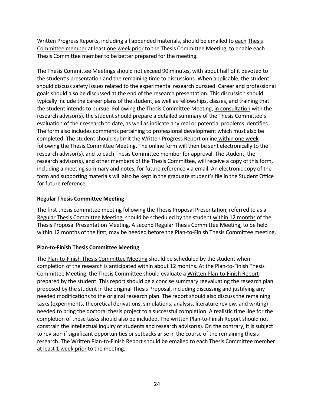Written Progress Reports, including all appended materials, should be emailed to each Thesis Committee member at least one week prior to the Thesis Committee Meeting, to enable each Thesis Committee member to be better prepared for the meeting.

The Thesis Committee Meetings should not exceed 90 minutes, with about half of it devoted to the student's presentation and the remaining time to discussions. When applicable, the student should discuss safety issues related to the experimental research pursued. Career and professional goals should also be discussed at the end of the research presentation. This discussion should typically include the career plans of the student, as well as fellowships, classes, and training that the student intends to pursue. Following the Thesis Committee Meeting, in consultation with the research advisor(s), the student should prepare a detailed summary of the Thesis Committee's evaluation of their research to date, as well as indicate any real or potential problems identified. The form also includes comments pertaining to professional development which must also be completed. The student should submit the Written Progress Report online within one week following the Thesis Committee Meeting. The online form will then be sent electronically to the research advisor(s), and to each Thesis Committee member for approval. The student, the research advisor(s), and other members of the Thesis Committee, will receive a copy of this form, including a meeting summary and notes, for future reference via email. An electronic copy of the form and supporting materials will also be kept in the graduate student's file in the Student Office for future reference.

#### **Regular Thesis Committee Meeting**

The first thesis committee meeting following the Thesis Proposal Presentation, referred to as a Regular Thesis Committee Meeting, should be scheduled by the student within 12 months of the Thesis Proposal Presentation Meeting. A second Regular Thesis Committee Meeting, to be held within 12 months of the first, may be needed before the Plan-to-Finish Thesis Committee meeting.

#### **Plan-to-Finish Thesis Committee Meeting**

The Plan-to-Finish Thesis Committee Meeting should be scheduled by the student when completion of the research is anticipated within about 12 months. At the Plan-to-Finish Thesis Committee Meeting, the Thesis Committee should evaluate a Written Plan-to-Finish Report prepared by the student. This report should be a concise summary reevaluating the research plan proposed by the student in the original Thesis Proposal, including discussing and justifying any needed modifications to the original research plan. The report should also discuss the remaining tasks (experiments, theoretical derivations, simulations, analysis, literature review, and writing) needed to bring the doctoral thesis project to a successful completion. A realistic time line for the completion of these tasks should also be included. The written Plan-to-Finish Report should not constrain the intellectual inquiry of students and research advisor(s). On the contrary, it is subject to revision if significant opportunities or setbacks arise in the course of the remaining thesis research. The Written Plan-to-Finish Report should be emailed to each Thesis Committee member at least 1 week prior to the meeting.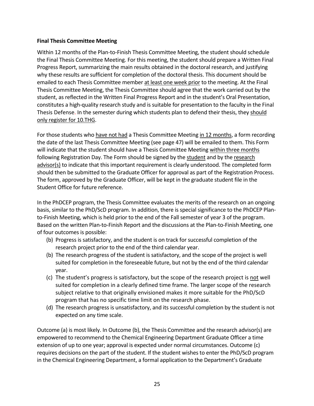#### **Final Thesis Committee Meeting**

Within 12 months of the Plan-to-Finish Thesis Committee Meeting, the student should schedule the Final Thesis Committee Meeting. For this meeting, the student should prepare a Written Final Progress Report, summarizing the main results obtained in the doctoral research, and justifying why these results are sufficient for completion of the doctoral thesis. This document should be emailed to each Thesis Committee member at least one week prior to the meeting. At the Final Thesis Committee Meeting, the Thesis Committee should agree that the work carried out by the student, as reflected in the Written Final Progress Report and in the student's Oral Presentation, constitutes a high-quality research study and is suitable for presentation to the faculty in the Final Thesis Defense. In the semester during which students plan to defend their thesis, they should only register for 10.THG.

For those students who have not had a Thesis Committee Meeting in 12 months, a form recording the date of the last Thesis Committee Meeting (see page 47) will be emailed to them. This Form will indicate that the student should have a Thesis Committee Meeting within three months following Registration Day. The Form should be signed by the student and by the research advisor(s) to indicate that this important requirement is clearly understood. The completed form should then be submitted to the Graduate Officer for approval as part of the Registration Process. The form, approved by the Graduate Officer, will be kept in the graduate student file in the Student Office for future reference.

In the PhDCEP program, the Thesis Committee evaluates the merits of the research on an ongoing basis, similar to the PhD/ScD program. In addition, there is special significance to the PhDCEP Planto-Finish Meeting, which is held prior to the end of the Fall semester of year 3 of the program. Based on the written Plan-to-Finish Report and the discussions at the Plan-to-Finish Meeting, one of four outcomes is possible:

- (b) Progress is satisfactory, and the student is on track for successful completion of the research project prior to the end of the third calendar year.
- (b) The research progress of the student is satisfactory, and the scope of the project is well suited for completion in the foreseeable future, but not by the end of the third calendar year.
- (c) The student's progress is satisfactory, but the scope of the research project is not well suited for completion in a clearly defined time frame. The larger scope of the research subject relative to that originally envisioned makes it more suitable for the PhD/ScD program that has no specific time limit on the research phase.
- (d) The research progress is unsatisfactory, and its successful completion by the student is not expected on any time scale.

Outcome (a) is most likely. In Outcome (b), the Thesis Committee and the research advisor(s) are empowered to recommend to the Chemical Engineering Department Graduate Officer a time extension of up to one year; approval is expected under normal circumstances. Outcome (c) requires decisions on the part of the student. If the student wishes to enter the PhD/ScD program in the Chemical Engineering Department, a formal application to the Department's Graduate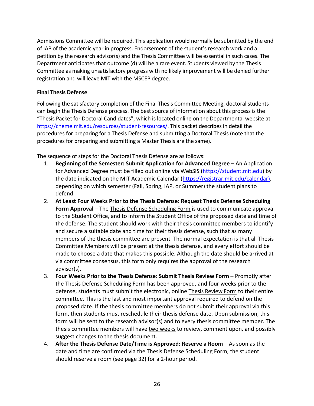Admissions Committee will be required. This application would normally be submitted by the end of IAP of the academic year in progress. Endorsement of the student's research work and a petition by the research advisor(s) and the Thesis Committee will be essential in such cases. The Department anticipates that outcome (d) will be a rare event. Students viewed by the Thesis Committee as making unsatisfactory progress with no likely improvement will be denied further registration and will leave MIT with the MSCEP degree.

#### **Final Thesis Defense**

Following the satisfactory completion of the Final Thesis Committee Meeting, doctoral students can begin the Thesis Defense process. The best source of information about this process is the "Thesis Packet for Doctoral Candidates", which is located online on the Departmental website at https://cheme.mit.edu/resources/student-resources/. This packet describes in detail the procedures for preparing for a Thesis Defense and submitting a Doctoral Thesis (note that the procedures for preparing and submitting a Master Thesis are the same).

The sequence of steps for the Doctoral Thesis Defense are as follows:

- 1. **Beginning of the Semester: Submit Application for Advanced Degree** An Application for Advanced Degree must be filled out online via WebSIS (https://student.mit.edu) by the date indicated on the MIT Academic Calendar (https://registrar.mit.edu/calendar), depending on which semester (Fall, Spring, IAP, or Summer) the student plans to defend.
- 2. **At Least Four Weeks Prior to the Thesis Defense: Request Thesis Defense Scheduling Form Approval** – The Thesis Defense Scheduling Form is used to communicate approval to the Student Office, and to inform the Student Office of the proposed date and time of the defense. The student should work with their thesis committee members to identify and secure a suitable date and time for their thesis defense, such that as many members of the thesis committee are present. The normal expectation is that all Thesis Committee Members will be present at the thesis defense, and every effort should be made to choose a date that makes this possible. Although the date should be arrived at via committee consensus, this form only requires the approval of the research advisor(s).
- 3. **Four Weeks Prior to the Thesis Defense: Submit Thesis Review Form** Promptly after the Thesis Defense Scheduling Form has been approved, and four weeks prior to the defense, students must submit the electronic, online Thesis Review Form to their entire committee. This is the last and most important approval required to defend on the proposed date. If the thesis committee members do not submit their approval via this form, then students must reschedule their thesis defense date. Upon submission, this form will be sent to the research advisor(s) and to every thesis committee member. The thesis committee members will have two weeks to review, comment upon, and possibly suggest changes to the thesis document.
- 4. **After the Thesis Defense Date/Time is Approved: Reserve a Room** As soon as the date and time are confirmed via the Thesis Defense Scheduling Form, the student should reserve a room (see page 32) for a 2-hour period.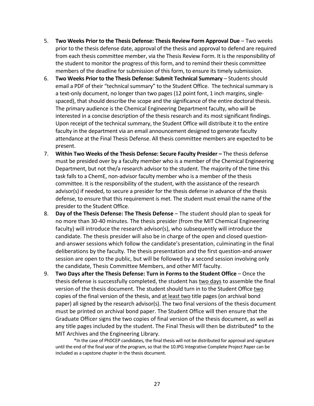- 5. **Two Weeks Prior to the Thesis Defense: Thesis Review Form Approval Due** Two weeks prior to the thesis defense date, approval of the thesis and approval to defend are required from each thesis committee member, via the Thesis Review Form. It is the responsibility of the student to monitor the progress of this form, and to remind their thesis committee members of the deadline for submission of this form, to ensure its timely submission.
- 6. **Two Weeks Prior to the Thesis Defense: Submit Technical Summary** Students should email a PDF of their "technical summary" to the Student Office. The technical summary is a text-only document, no longer than two pages (12 point font, 1 inch margins, singlespaced), that should describe the scope and the significance of the entire doctoral thesis. The primary audience is the Chemical Engineering Department faculty, who will be interested in a concise description of the thesis research and its most significant findings. Upon receipt of the technical summary, the Student Office will distribute it to the entire faculty in the department via an email announcement designed to generate faculty attendance at the Final Thesis Defense. All thesis committee members are expected to be present.
- 7. **Within Two Weeks of the Thesis Defense: Secure Faculty Presider –** The thesis defense must be presided over by a faculty member who is a member of the Chemical Engineering Department, but not the/a research advisor to the student. The majority of the time this task falls to a ChemE, non-advisor faculty member who is a member of the thesis committee. It is the responsibility of the student, with the assistance of the research advisor(s) if needed, to secure a presider for the thesis defense in advance of the thesis defense, to ensure that this requirement is met. The student must email the name of the presider to the Student Office.
- 8. **Day of the Thesis Defense: The Thesis Defense** The student should plan to speak for no more than 30-40 minutes. The thesis presider (from the MIT Chemical Engineering faculty) will introduce the research advisor(s), who subsequently will introduce the candidate. The thesis presider will also be in charge of the open and closed questionand-answer sessions which follow the candidate's presentation, culminating in the final deliberations by the faculty. The thesis presentation and the first question-and-answer session are open to the public, but will be followed by a second session involving only the candidate, Thesis Committee Members, and other MIT faculty.
- 9. **Two Days after the Thesis Defense: Turn in Forms to the Student Office** Once the thesis defense is successfully completed, the student has two days to assemble the final version of the thesis document. The student should turn in to the Student Office two copies of the final version of the thesis, and at least two title pages (on archival bond paper) all signed by the research advisor(s). The two final versions of the thesis document must be printed on archival bond paper. The Student Office will then ensure that the Graduate Officer signs the two copies of final version of the thesis document, as well as any title pages included by the student. The Final Thesis will then be distributed\* to the MIT Archives and the Engineering Library.

\*In the case of PhDCEP candidates, the final thesis will not be distributed for approval and signature until the end of the final year of the program, so that the 10.IPG Integrative Complete Project Paper can be included as a capstone chapter in the thesis document.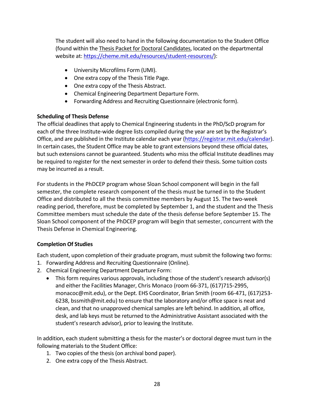The student will also need to hand in the following documentation to the Student Office (found within the Thesis Packet for Doctoral Candidates, located on the departmental website at: https://cheme.mit.edu/resources/student-resources/):

- University Microfilms Form (UMI).
- One extra copy of the Thesis Title Page.
- One extra copy of the Thesis Abstract.
- Chemical Engineering Department Departure Form.
- Forwarding Address and Recruiting Questionnaire (electronic form).

#### **Scheduling of Thesis Defense**

The official deadlines that apply to Chemical Engineering students in the PhD/ScD program for each of the three Institute-wide degree lists compiled during the year are set by the Registrar's Office, and are published in the Institute calendar each year (https://registrar.mit.edu/calendar). In certain cases, the Student Office may be able to grant extensions beyond these official dates, but such extensions cannot be guaranteed. Students who miss the official Institute deadlines may be required to register for the next semester in order to defend their thesis. Some tuition costs may be incurred as a result.

For students in the PhDCEP program whose Sloan School component will begin in the fall semester, the complete research component of the thesis must be turned in to the Student Office and distributed to all the thesis committee members by August 15. The two-week reading period, therefore, must be completed by September 1, and the student and the Thesis Committee members must schedule the date of the thesis defense before September 15. The Sloan School component of the PhDCEP program will begin that semester, concurrent with the Thesis Defense in Chemical Engineering.

#### **Completion Of Studies**

Each student, upon completion of their graduate program, must submit the following two forms:

- 1. Forwarding Address and Recruiting Questionnaire (Online).
- 2. Chemical Engineering Department Departure Form:
	- This form requires various approvals, including those of the student's research advisor(s) and either the Facilities Manager, Chris Monaco (room 66-371, (617)715-2995, monacoc@mit.edu), or the Dept. EHS Coordinator, Brian Smith (room 66-471, (617)253- 6238, bssmith@mit.edu) to ensure that the laboratory and/or office space is neat and clean, and that no unapproved chemical samples are left behind. In addition, all office, desk, and lab keys must be returned to the Administrative Assistant associated with the student's research advisor), prior to leaving the Institute.

In addition, each student submitting a thesis for the master's or doctoral degree must turn in the following materials to the Student Office:

- 1. Two copies of the thesis (on archival bond paper).
- 2. One extra copy of the Thesis Abstract.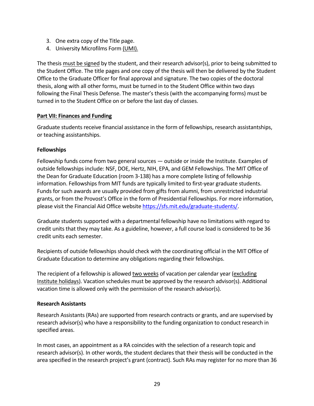- 3. One extra copy of the Title page.
- 4. University Microfilms Form (UMI).

The thesis must be signed by the student, and their research advisor(s), prior to being submitted to the Student Office. The title pages and one copy of the thesis will then be delivered by the Student Office to the Graduate Officer for final approval and signature. The two copies of the doctoral thesis, along with all other forms, must be turned in to the Student Office within two days following the Final Thesis Defense. The master's thesis (with the accompanying forms) must be turned in to the Student Office on or before the last day of classes.

#### **Part VII: Finances and Funding**

Graduate students receive financial assistance in the form of fellowships, research assistantships, or teaching assistantships.

#### **Fellowships**

Fellowship funds come from two general sources — outside or inside the Institute. Examples of outside fellowships include: NSF, DOE, Hertz, NIH, EPA, and GEM Fellowships. The MIT Office of the Dean for Graduate Education (room 3-138) has a more complete listing of fellowship information. Fellowships from MIT funds are typically limited to first-year graduate students. Funds for such awards are usually provided from gifts from alumni, from unrestricted industrial grants, or from the Provost's Office in the form of Presidential Fellowships. For more information, please visit the Financial Aid Office website https://sfs.mit.edu/graduate-students/.

Graduate students supported with a departmental fellowship have no limitations with regard to credit units that they may take. As a guideline, however, a full course load is considered to be 36 credit units each semester.

Recipients of outside fellowships should check with the coordinating official in the MIT Office of Graduate Education to determine any obligations regarding their fellowships.

The recipient of a fellowship is allowed two weeks of vacation per calendar year (excluding Institute holidays). Vacation schedules must be approved by the research advisor(s). Additional vacation time is allowed only with the permission of the research advisor(s).

#### **Research Assistants**

Research Assistants (RAs) are supported from research contracts or grants, and are supervised by research advisor(s) who have a responsibility to the funding organization to conduct research in specified areas.

In most cases, an appointment as a RA coincides with the selection of a research topic and research advisor(s). In other words, the student declares that their thesis will be conducted in the area specified in the research project's grant (contract). Such RAs may register for no more than 36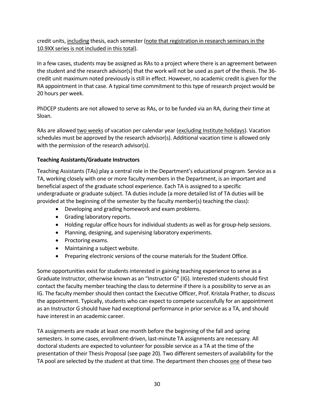credit units, including thesis, each semester (note that registration in research seminars in the 10.9XX series is not included in this total).

In a few cases, students may be assigned as RAs to a project where there is an agreement between the student and the research advisor(s) that the work will not be used as part of the thesis. The 36 credit unit maximum noted previously is still in effect. However, no academic credit is given for the RA appointment in that case. A typical time commitment to this type of research project would be 20 hours per week.

PhDCEP students are not allowed to serve as RAs, or to be funded via an RA, during their time at Sloan.

RAs are allowed two weeks of vacation per calendar year (excluding Institute holidays). Vacation schedules must be approved by the research advisor(s). Additional vacation time is allowed only with the permission of the research advisor(s).

#### **Teaching Assistants/Graduate Instructors**

Teaching Assistants (TAs) play a central role in the Department's educational program. Service as a TA, working closely with one or more faculty members in the Department, is an important and beneficial aspect of the graduate school experience. Each TA is assigned to a specific undergraduate or graduate subject. TA duties include (a more detailed list of TA duties will be provided at the beginning of the semester by the faculty member(s) teaching the class):

- Developing and grading homework and exam problems.
- Grading laboratory reports.
- Holding regular office hours for individual students as well as for group-help sessions.
- Planning, designing, and supervising laboratory experiments.
- Proctoring exams.
- Maintaining a subject website.
- Preparing electronic versions of the course materials for the Student Office.

Some opportunities exist for students interested in gaining teaching experience to serve as a Graduate Instructor, otherwise known as an "Instructor G" (IG). Interested students should first contact the faculty member teaching the class to determine if there is a possibility to serve as an IG. The faculty member should then contact the Executive Officer, Prof. Kristala Prather, to discuss the appointment. Typically, students who can expect to compete successfully for an appointment as an Instructor G should have had exceptional performance in prior service as a TA, and should have interest in an academic career.

TA assignments are made at least one month before the beginning of the fall and spring semesters. In some cases, enrollment-driven, last-minute TA assignments are necessary. All doctoral students are expected to volunteer for possible service as a TA at the time of the presentation of their Thesis Proposal (see page 20). Two different semesters of availability for the TA pool are selected by the student at that time. The department then chooses one of these two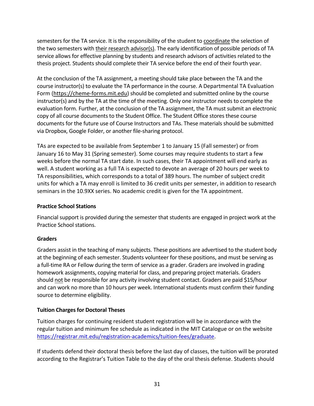semesters for the TA service. It is the responsibility of the student to coordinate the selection of the two semesters with their research advisor(s). The early identification of possible periods of TA service allows for effective planning by students and research advisors of activities related to the thesis project. Students should complete their TA service before the end of their fourth year.

At the conclusion of the TA assignment, a meeting should take place between the TA and the course instructor(s) to evaluate the TA performance in the course. A Departmental TA Evaluation Form (https://cheme-forms.mit.edu) should be completed and submitted online by the course instructor(s) and by the TA at the time of the meeting. Only one instructor needs to complete the evaluation form. Further, at the conclusion of the TA assignment, the TA must submit an electronic copy of all course documents to the Student Office. The Student Office stores these course documents for the future use of Course Instructors and TAs. These materials should be submitted via Dropbox, Google Folder, or another file-sharing protocol.

TAs are expected to be available from September 1 to January 15 (Fall semester) or from January 16 to May 31 (Spring semester). Some courses may require students to start a few weeks before the normal TA start date. In such cases, their TA appointment will end early as well. A student working as a full TA is expected to devote an average of 20 hours per week to TA responsibilities, which corresponds to a total of 389 hours. The number of subject credit units for which a TA may enroll is limited to 36 credit units per semester, in addition to research seminars in the 10.9XX series. No academic credit is given for the TA appointment.

#### **Practice School Stations**

Financial support is provided during the semester that students are engaged in project work at the Practice School stations.

#### **Graders**

Graders assist in the teaching of many subjects. These positions are advertised to the student body at the beginning of each semester. Students volunteer for these positions, and must be serving as a full-time RA or Fellow during the term of service as a grader. Graders are involved in grading homework assignments, copying material for class, and preparing project materials. Graders should not be responsible for any activity involving student contact. Graders are paid \$15/hour and can work no more than 10 hours per week. International students must confirm their funding source to determine eligibility.

#### **Tuition Charges for Doctoral Theses**

Tuition charges for continuing resident student registration will be in accordance with the regular tuition and minimum fee schedule as indicated in the MIT Catalogue or on the website https://registrar.mit.edu/registration-academics/tuition-fees/graduate.

If students defend their doctoral thesis before the last day of classes, the tuition will be prorated according to the Registrar's Tuition Table to the day of the oral thesis defense. Students should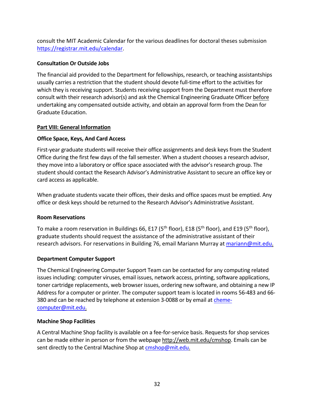consult the MIT Academic Calendar for the various deadlines for doctoral theses submission https://registrar.mit.edu/calendar.

#### **Consultation Or Outside Jobs**

The financial aid provided to the Department for fellowships, research, or teaching assistantships usually carries a restriction that the student should devote full-time effort to the activities for which they is receiving support. Students receiving support from the Department must therefore consult with their research advisor(s) and ask the Chemical Engineering Graduate Officer before undertaking any compensated outside activity, and obtain an approval form from the Dean for Graduate Education.

#### **Part VIII: General Information**

#### **Office Space, Keys, And Card Access**

First-year graduate students will receive their office assignments and desk keys from the Student Office during the first few days of the fall semester. When a student chooses a research advisor, they move into a laboratory or office space associated with the advisor's research group. The student should contact the Research Advisor's Administrative Assistant to secure an office key or card access as applicable.

When graduate students vacate their offices, their desks and office spaces must be emptied. Any office or desk keys should be returned to the Research Advisor's Administrative Assistant.

#### **Room Reservations**

To make a room reservation in Buildings 66, E17 (5<sup>th</sup> floor), E18 (5<sup>th</sup> floor), and E19 (5<sup>th</sup> floor), graduate students should request the assistance of the administrative assistant of their research advisors. For reservations in Building 76, email Mariann Murray at mariann@mit.edu.

#### **Department Computer Support**

The Chemical Engineering Computer Support Team can be contacted for any computing related issues including: computer viruses, email issues, network access, printing, software applications, toner cartridge replacements, web browser issues, ordering new software, and obtaining a new IP Address for a computer or printer. The computer support team is located in rooms 56-483 and 66- 380 and can be reached by telephone at extension 3-0088 or by email at chemecomputer@mit.edu.

#### **Machine Shop Facilities**

A Central Machine Shop facility is available on a fee-for-service basis. Requests for shop services can be made either in person or from the webpage http://web.mit.edu/cmshop. Emails can be sent directly to the Central Machine Shop at cmshop@mit.edu.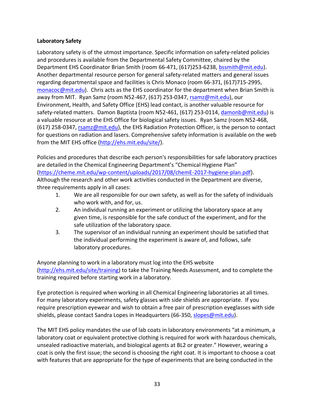#### **Laboratory Safety**

Laboratory safety is of the utmost importance. Specific information on safety-related policies and procedures is available from the Departmental Safety Committee, chaired by the Department EHS Coordinator Brian Smith (room 66-471, (617)253-6238, bssmith@mit.edu). Another departmental resource person for general safety-related matters and general issues regarding departmental space and facilities is Chris Monaco (room 66-371, (617)715-2995, monacoc@mit.edu). Chris acts as the EHS coordinator for the department when Brian Smith is away from MIT. Ryan Samz (room N52-467, (617) 253-0347, rsamz@mit.edu), our Environment, Health, and Safety Office (EHS) lead contact, is another valuable resource for safety-related matters. Damon Baptista (room N52-461, (617) 253-0114, damonb@mit.edu) is a valuable resource at the EHS Office for biological safety issues. Ryan Samz (room N52-468, (617) 258-0347, rsamz@mit.edu), the EHS Radiation Protection Officer, is the person to contact for questions on radiation and lasers. Comprehensive safety information is available on the web from the MIT EHS office (http://ehs.mit.edu/site/).

Policies and procedures that describe each person's responsibilities for safe laboratory practices are detailed in the Chemical Engineering Department's "Chemical Hygiene Plan" (https://cheme.mit.edu/wp-content/uploads/2017/08/chemE-2017-hygiene-plan.pdf). Although the research and other work activities conducted in the Department are diverse, three requirements apply in all cases:

- 1. We are all responsible for our own safety, as well as for the safety of individuals who work with, and for, us.
- 2. An individual running an experiment or utilizing the laboratory space at any given time, is responsible for the safe conduct of the experiment, and for the safe utilization of the laboratory space.
- 3. The supervisor of an individual running an experiment should be satisfied that the individual performing the experiment is aware of, and follows, safe laboratory procedures.

Anyone planning to work in a laboratory must log into the EHS website (http://ehs.mit.edu/site/training) to take the Training Needs Assessment, and to complete the training required before starting work in a laboratory.

Eye protection is required when working in all Chemical Engineering laboratories at all times. For many laboratory experiments, safety glasses with side shields are appropriate. If you require prescription eyewear and wish to obtain a free pair of prescription eyeglasses with side shields, please contact Sandra Lopes in Headquarters (66-350, slopes@mit.edu).

The MIT EHS policy mandates the use of lab coats in laboratory environments "at a minimum, a laboratory coat or equivalent protective clothing is required for work with hazardous chemicals, unsealed radioactive materials, and biological agents at BL2 or greater." However, wearing a coat is only the first issue; the second is choosing the right coat. It is important to choose a coat with features that are appropriate for the type of experiments that are being conducted in the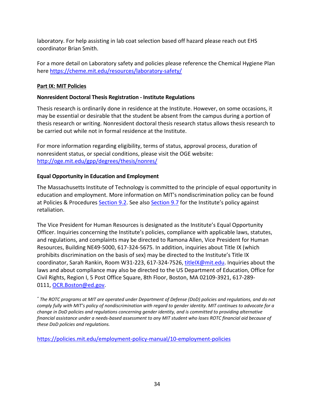laboratory. For help assisting in lab coat selection based off hazard please reach out EHS coordinator Brian Smith.

For a more detail on Laboratory safety and policies please reference the Chemical Hygiene Plan here https://cheme.mit.edu/resources/laboratory-safety/

#### **Part IX: MIT Policies**

#### **Nonresident Doctoral Thesis Registration - Institute Regulations**

Thesis research is ordinarily done in residence at the Institute. However, on some occasions, it may be essential or desirable that the student be absent from the campus during a portion of thesis research or writing. Nonresident doctoral thesis research status allows thesis research to be carried out while not in formal residence at the Institute.

For more information regarding eligibility, terms of status, approval process, duration of nonresident status, or special conditions, please visit the OGE website: http://oge.mit.edu/gpp/degrees/thesis/nonres/

#### **Equal Opportunity in Education and Employment**

The Massachusetts Institute of Technology is committed to the principle of equal opportunity in education and employment. More information on MIT's nondiscrimination policy can be found at Policies & Procedures Section 9.2. See also Section 9.7 for the Institute's policy against retaliation.

The Vice President for Human Resources is designated as the Institute's Equal Opportunity Officer. Inquiries concerning the Institute's policies, compliance with applicable laws, statutes, and regulations, and complaints may be directed to Ramona Allen, Vice President for Human Resources, Building NE49-5000, 617-324-5675. In addition, inquiries about Title IX (which prohibits discrimination on the basis of sex) may be directed to the Institute's Title IX coordinator, Sarah Rankin, Room W31-223, 617-324-7526, titleIX@mit.edu. Inquiries about the laws and about compliance may also be directed to the US Department of Education, Office for Civil Rights, Region I, 5 Post Office Square, 8th Floor, Boston, MA 02109-3921, 617-289- 0111, OCR.Boston@ed.gov.

*\* The ROTC programs at MIT are operated under Department of Defense (DoD) policies and regulations, and do not comply fully with MIT's policy of nondiscrimination with regard to gender identity. MIT continues to advocate for a change in DoD policies and regulations concerning gender identity, and is committed to providing alternative financial assistance under a needs-based assessment to any MIT student who loses ROTC financial aid because of these DoD policies and regulations.*

https://policies.mit.edu/employment-policy-manual/10-employment-policies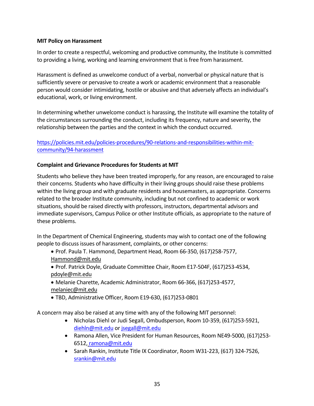#### **MIT Policy on Harassment**

In order to create a respectful, welcoming and productive community, the Institute is committed to providing a living, working and learning environment that is free from harassment.

Harassment is defined as unwelcome conduct of a verbal, nonverbal or physical nature that is sufficiently severe or pervasive to create a work or academic environment that a reasonable person would consider intimidating, hostile or abusive and that adversely affects an individual's educational, work, or living environment.

In determining whether unwelcome conduct is harassing, the Institute will examine the totality of the circumstances surrounding the conduct, including its frequency, nature and severity, the relationship between the parties and the context in which the conduct occurred.

#### https://policies.mit.edu/policies-procedures/90-relations-and-responsibilities-within-mitcommunity/94-harassment

#### **Complaint and Grievance Procedures for Students at MIT**

Students who believe they have been treated improperly, for any reason, are encouraged to raise their concerns. Students who have difficulty in their living groups should raise these problems within the living group and with graduate residents and housemasters, as appropriate. Concerns related to the broader Institute community, including but not confined to academic or work situations, should be raised directly with professors, instructors, departmental advisors and immediate supervisors, Campus Police or other Institute officials, as appropriate to the nature of these problems.

In the Department of Chemical Engineering, students may wish to contact one of the following people to discuss issues of harassment, complaints, or other concerns:

- Prof. Paula T. Hammond, Department Head, Room 66-350, (617)258-7577, Hammond@mit.edu
- Prof. Patrick Doyle, Graduate Committee Chair, Room E17-504F, (617)253-4534, pdoyle@mit.edu
- Melanie Charette, Academic Administrator, Room 66-366, (617)253-4577, melaniec@mit.edu
- TBD, Administrative Officer, Room E19-630, (617)253-0801

A concern may also be raised at any time with any of the following MIT personnel:

- Nicholas Diehl or Judi Segall, Ombudsperson, Room 10-359, (617)253-5921, diehln@mit.edu or jsegall@mit.edu
- Ramona Allen, Vice President for Human Resources, Room NE49-5000, (617)253- 6512, ramona@mit.edu
- Sarah Rankin, Institute Title IX Coordinator, Room W31-223, (617) 324-7526, srankin@mit.edu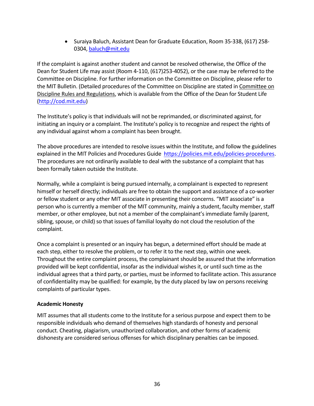• Suraiya Baluch, Assistant Dean for Graduate Education, Room 35-338, (617) 258- 0304, baluch@mit.edu

If the complaint is against another student and cannot be resolved otherwise, the Office of the Dean for Student Life may assist (Room 4-110, (617)253-4052), or the case may be referred to the Committee on Discipline. For further information on the Committee on Discipline, please refer to the MIT Bulletin. (Detailed procedures of the Committee on Discipline are stated in Committee on Discipline Rules and Regulations, which is available from the Office of the Dean for Student Life (http://cod.mit.edu)

The Institute's policy is that individuals will not be reprimanded, or discriminated against, for initiating an inquiry or a complaint. The Institute's policy is to recognize and respect the rights of any individual against whom a complaint has been brought.

The above procedures are intended to resolve issues within the Institute, and follow the guidelines explained in the MIT Policies and Procedures Guide https://policies.mit.edu/policies-procedures. The procedures are not ordinarily available to deal with the substance of a complaint that has been formally taken outside the Institute.

Normally, while a complaint is being pursued internally, a complainant is expected to represent himself or herself directly; individuals are free to obtain the support and assistance of a co-worker or fellow student or any other MIT associate in presenting their concerns. "MIT associate" is a person who is currently a member of the MIT community, mainly a student, faculty member, staff member, or other employee, but not a member of the complainant's immediate family (parent, sibling, spouse, or child) so that issues of familial loyalty do not cloud the resolution of the complaint.

Once a complaint is presented or an inquiry has begun, a determined effort should be made at each step, either to resolve the problem, or to refer it to the next step, within one week. Throughout the entire complaint process, the complainant should be assured that the information provided will be kept confidential, insofar as the individual wishes it, or until such time as the individual agrees that a third party, or parties, must be informed to facilitate action. This assurance of confidentiality may be qualified: for example, by the duty placed by law on persons receiving complaints of particular types.

#### **Academic Honesty**

MIT assumes that all students come to the Institute for a serious purpose and expect them to be responsible individuals who demand of themselves high standards of honesty and personal conduct. Cheating, plagiarism, unauthorized collaboration, and other forms of academic dishonesty are considered serious offenses for which disciplinary penalties can be imposed.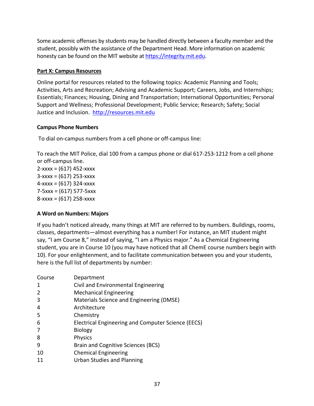Some academic offenses by students may be handled directly between a faculty member and the student, possibly with the assistance of the Department Head. More information on academic honesty can be found on the MIT website at https://integrity.mit.edu.

#### **Part X: Campus Resources**

Online portal for resources related to the following topics: Academic Planning and Tools; Activities, Arts and Recreation; Advising and Academic Support; Careers, Jobs, and Internships; Essentials; Finances; Housing, Dining and Transportation; International Opportunities; Personal Support and Wellness; Professional Development; Public Service; Research; Safety; Social Justice and Inclusion. http://resources.mit.edu

#### **Campus Phone Numbers**

To dial on-campus numbers from a cell phone or off-campus line:

To reach the MIT Police, dial 100 from a campus phone or dial 617-253-1212 from a cell phone or off-campus line.

 $2-xxxx = (617) 452-xxxx$  $3-xxxx = (617) 253-xxxxx$  $4 - xxxx = (617) 324 - xxxx$ 7-5xxx = (617) 577-5xxx 8-xxxx = (617) 258-xxxx

#### **A Word on Numbers: Majors**

If you hadn't noticed already, many things at MIT are referred to by numbers. Buildings, rooms, classes, departments—almost everything has a number! For instance, an MIT student might say, "I am Course 8," instead of saying, "I am a Physics major." As a Chemical Engineering student, you are in Course 10 (you may have noticed that all ChemE course numbers begin with 10). For your enlightenment, and to facilitate communication between you and your students, here is the full list of departments by number:

| Course | Department                                         |
|--------|----------------------------------------------------|
| -1     | Civil and Environmental Engineering                |
| 2      | <b>Mechanical Engineering</b>                      |
| 3      | Materials Science and Engineering (DMSE)           |
| 4      | Architecture                                       |
| 5      | Chemistry                                          |
| 6      | Electrical Engineering and Computer Science (EECS) |
| 7      | <b>Biology</b>                                     |
| 8      | <b>Physics</b>                                     |
| 9      | Brain and Cognitive Sciences (BCS)                 |
| 10     | <b>Chemical Engineering</b>                        |
|        | <b>Urban Studies and Planning</b>                  |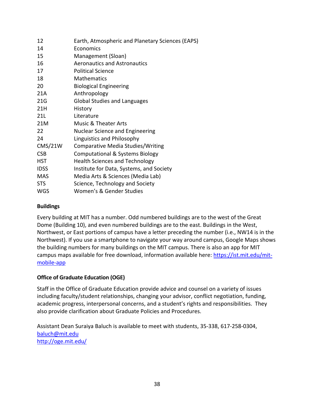| 12          | Earth, Atmospheric and Planetary Sciences (EAPS) |
|-------------|--------------------------------------------------|
| 14          | Economics                                        |
| 15          | Management (Sloan)                               |
| 16          | <b>Aeronautics and Astronautics</b>              |
| 17          | <b>Political Science</b>                         |
| 18          | <b>Mathematics</b>                               |
| 20          | <b>Biological Engineering</b>                    |
| 21A         | Anthropology                                     |
| 21G         | <b>Global Studies and Languages</b>              |
| 21H         | History                                          |
| 21L         | Literature                                       |
| 21M         | <b>Music &amp; Theater Arts</b>                  |
| 22          | <b>Nuclear Science and Engineering</b>           |
| 24          | Linguistics and Philosophy                       |
| CMS/21W     | Comparative Media Studies/Writing                |
| <b>CSB</b>  | <b>Computational &amp; Systems Biology</b>       |
| <b>HST</b>  | <b>Health Sciences and Technology</b>            |
| <b>IDSS</b> | Institute for Data, Systems, and Society         |
| <b>MAS</b>  | Media Arts & Sciences (Media Lab)                |
| <b>STS</b>  | Science, Technology and Society                  |
| <b>WGS</b>  | Women's & Gender Studies                         |

#### **Buildings**

Every building at MIT has a number. Odd numbered buildings are to the west of the Great Dome (Building 10), and even numbered buildings are to the east. Buildings in the West, Northwest, or East portions of campus have a letter preceding the number (i.e., NW14 is in the Northwest). If you use a smartphone to navigate your way around campus, Google Maps shows the building numbers for many buildings on the MIT campus. There is also an app for MIT campus maps available for free download, information available here: https://ist.mit.edu/mitmobile-app

#### **Office of Graduate Education (OGE)**

Staff in the Office of Graduate Education provide advice and counsel on a variety of issues including faculty/student relationships, changing your advisor, conflict negotiation, funding, academic progress, interpersonal concerns, and a student's rights and responsibilities. They also provide clarification about Graduate Policies and Procedures.

Assistant Dean Suraiya Baluch is available to meet with students, 35-338, 617-258-0304, baluch@mit.edu http://oge.mit.edu/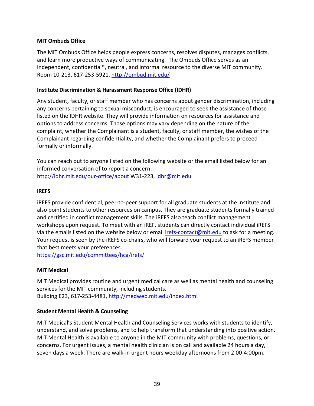#### **MIT Ombuds Office**

The MIT Ombuds Office helps people express concerns, resolves disputes, manages conflicts, and learn more productive ways of communicating. The Ombuds Office serves as an independent, confidential\*, neutral, and informal resource to the diverse MIT community. Room 10-213, 617-253-5921, http://ombud.mit.edu/

#### **Institute Discrimination & Harassment Response Office (IDHR)**

Any student, faculty, or staff member who has concerns about gender discrimination, including any concerns pertaining to sexual misconduct, is encouraged to seek the assistance of those listed on the IDHR website. They will provide information on resources for assistance and options to address concerns. Those options may vary depending on the nature of the complaint, whether the Complainant is a student, faculty, or staff member, the wishes of the Complainant regarding confidentiality, and whether the Complainant prefers to proceed formally or informally.

You can reach out to anyone listed on the following website or the email listed below for an informed conversation of to report a concern: http://idhr.mit.edu/our-office/about W31-223, idhr@mit.edu

#### **iREFS**

iREFS provide confidential, peer-to-peer support for all graduate students at the Institute and also point students to other resources on campus. They are graduate students formally trained and certified in conflict management skills. The iREFS also teach conflict management workshops upon request. To meet with an iREF, students can directly contact individual iREFS via the emails listed on the website below or email irefs-contact@mit.edu to ask for a meeting. Your request is seen by the iREFS co-chairs, who will forward your request to an iREFS member that best meets your preferences.

https://gsc.mit.edu/committees/hca/irefs/

#### **MIT Medical**

MIT Medical provides routine and urgent medical care as well as mental health and counseling services for the MIT community, including students. Building E23, 617-253-4481, http://medweb.mit.edu/index.html

#### **Student Mental Health & Counseling**

MIT Medical's Student Mental Health and Counseling Services works with students to identify, understand, and solve problems, and to help transform that understanding into positive action. MIT Mental Health is available to anyone in the MIT community with problems, questions, or concerns. For urgent issues, a mental health clinician is on call and available 24 hours a day, seven days a week. There are walk-in urgent hours weekday afternoons from 2:00-4:00pm.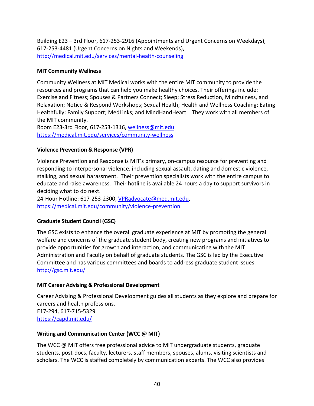Building E23 – 3rd Floor, 617-253-2916 (Appointments and Urgent Concerns on Weekdays), 617-253-4481 (Urgent Concerns on Nights and Weekends), http://medical.mit.edu/services/mental-health-counseling

#### **MIT Community Wellness**

Community Wellness at MIT Medical works with the entire MIT community to provide the resources and programs that can help you make healthy choices. Their offerings include: Exercise and Fitness; Spouses & Partners Connect; Sleep; Stress Reduction, Mindfulness, and Relaxation; Notice & Respond Workshops; Sexual Health; Health and Wellness Coaching; Eating Healthfully; Family Support; MedLinks; and MindHandHeart. They work with all members of the MIT community.

Room E23-3rd Floor, 617-253-1316, wellness@mit.edu https://medical.mit.edu/services/community-wellness

#### **Violence Prevention & Response (VPR)**

Violence Prevention and Response is MIT's primary, on-campus resource for preventing and responding to interpersonal violence, including sexual assault, dating and domestic violence, stalking, and sexual harassment. Their prevention specialists work with the entire campus to educate and raise awareness. Their hotline is available 24 hours a day to support survivors in deciding what to do next.

24-Hour Hotline: 617-253-2300, VPRadvocate@med.mit.edu, https://medical.mit.edu/community/violence-prevention

#### **Graduate Student Council (GSC)**

The GSC exists to enhance the overall graduate experience at MIT by promoting the general welfare and concerns of the graduate student body, creating new programs and initiatives to provide opportunities for growth and interaction, and communicating with the MIT Administration and Faculty on behalf of graduate students. The GSC is led by the Executive Committee and has various committees and boards to address graduate student issues. http://gsc.mit.edu/

#### **MIT Career Advising & Professional Development**

Career Advising & Professional Development guides all students as they explore and prepare for careers and health professions. E17-294, 617-715-5329 https://capd.mit.edu/

#### **Writing and Communication Center (WCC @ MIT)**

The WCC @ MIT offers free professional advice to MIT undergraduate students, graduate students, post-docs, faculty, lecturers, staff members, spouses, alums, visiting scientists and scholars. The WCC is staffed completely by communication experts. The WCC also provides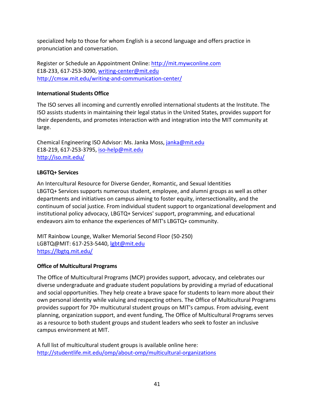specialized help to those for whom English is a second language and offers practice in pronunciation and conversation.

Register or Schedule an Appointment Online: http://mit.mywconline.com E18-233, 617-253-3090, writing-center@mit.edu http://cmsw.mit.edu/writing-and-communication-center/

#### **International Students Office**

The ISO serves all incoming and currently enrolled international students at the Institute. The ISO assists students in maintaining their legal status in the United States, provides support for their dependents, and promotes interaction with and integration into the MIT community at large.

Chemical Engineering ISO Advisor: Ms. Janka Moss, janka@mit.edu E18-219, 617-253-3795, iso-help@mit.edu http://iso.mit.edu/

#### **LBGTQ+ Services**

An Intercultural Resource for Diverse Gender, Romantic, and Sexual Identities LBGTQ+ Services supports numerous student, employee, and alumni groups as well as other departments and initiatives on campus aiming to foster equity, intersectionality, and the continuum of social justice. From individual student support to organizational development and institutional policy advocacy, LBGTQ+ Services' support, programming, and educational endeavors aim to enhance the experiences of MIT's LBGTQ+ community.

MIT Rainbow Lounge, Walker Memorial Second Floor (50-250) LGBTQ@MIT: 617-253-5440, lgbt@mit.edu https://lbgtq.mit.edu/

#### **Office of Multicultural Programs**

The Office of Multicultural Programs (MCP) provides support, advocacy, and celebrates our diverse undergraduate and graduate student populations by providing a myriad of educational and social opportunities. They help create a brave space for students to learn more about their own personal identity while valuing and respecting others. The Office of Multicultural Programs provides support for 70+ multicutural student groups on MIT's campus. From advising, event planning, organization support, and event funding, The Office of Multicultural Programs serves as a resource to both student groups and student leaders who seek to foster an inclusive campus environment at MIT.

A full list of multicultural student groups is available online here: http://studentlife.mit.edu/omp/about-omp/multicultural-organizations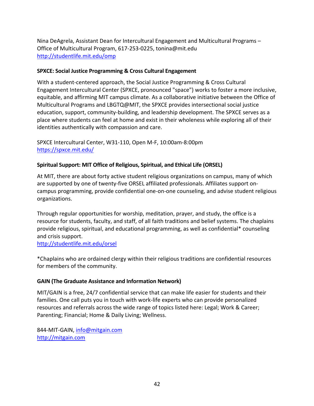Nina DeAgrela, Assistant Dean for Intercultural Engagement and Multicultural Programs – Office of Multicultural Program, 617-253-0225, tonina@mit.edu http://studentlife.mit.edu/omp

#### **SPXCE: Social Justice Programming & Cross Cultural Engagement**

With a student-centered approach, the Social Justice Programming & Cross Cultural Engagement Intercultural Center (SPXCE, pronounced "space") works to foster a more inclusive, equitable, and affirming MIT campus climate. As a collaborative initiative between the Office of Multicultural Programs and LBGTQ@MIT, the SPXCE provides intersectional social justice education, support, community-building, and leadership development. The SPXCE serves as a place where students can feel at home and exist in their wholeness while exploring all of their identities authentically with compassion and care.

SPXCE Intercultural Center, W31-110, Open M-F, 10:00am-8:00pm https://spxce.mit.edu/

#### **Spiritual Support: MIT Office of Religious, Spiritual, and Ethical Life (ORSEL)**

At MIT, there are about forty active student religious organizations on campus, many of which are supported by one of twenty-five ORSEL affiliated professionals. Affiliates support oncampus programming, provide confidential one-on-one counseling, and advise student religious organizations.

Through regular opportunities for worship, meditation, prayer, and study, the office is a resource for students, faculty, and staff, of all faith traditions and belief systems. The chaplains provide religious, spiritual, and educational programming, as well as confidential\* counseling and crisis support.

http://studentlife.mit.edu/orsel

\*Chaplains who are ordained clergy within their religious traditions are confidential resources for members of the community.

#### **GAIN (The Graduate Assistance and Information Network)**

MIT/GAIN is a free, 24/7 confidential service that can make life easier for students and their families. One call puts you in touch with work-life experts who can provide personalized resources and referrals across the wide range of topics listed here: Legal; Work & Career; Parenting; Financial; Home & Daily Living; Wellness.

844-MIT-GAIN, info@mitgain.com http://mitgain.com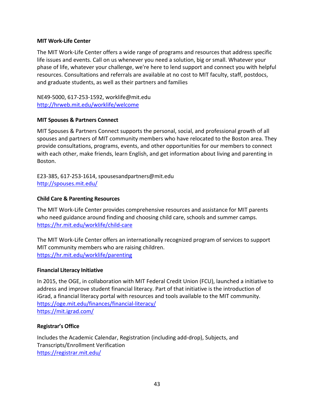#### **MIT Work-Life Center**

The MIT Work-Life Center offers a wide range of programs and resources that address specific life issues and events. Call on us whenever you need a solution, big or small. Whatever your phase of life, whatever your challenge, we're here to lend support and connect you with helpful resources. Consultations and referrals are available at no cost to MIT faculty, staff, postdocs, and graduate students, as well as their partners and families

NE49-5000, 617-253-1592, worklife@mit.edu http://hrweb.mit.edu/worklife/welcome

#### **MIT Spouses & Partners Connect**

MIT Spouses & Partners Connect supports the personal, social, and professional growth of all spouses and partners of MIT community members who have relocated to the Boston area. They provide consultations, programs, events, and other opportunities for our members to connect with each other, make friends, learn English, and get information about living and parenting in Boston.

E23-385, 617-253-1614, spousesandpartners@mit.edu http://spouses.mit.edu/

#### **Child Care & Parenting Resources**

The MIT Work-Life Center provides comprehensive resources and assistance for MIT parents who need guidance around finding and choosing child care, schools and summer camps. https://hr.mit.edu/worklife/child-care

The MIT Work-Life Center offers an internationally recognized program of services to support MIT community members who are raising children. https://hr.mit.edu/worklife/parenting

#### **Financial Literacy Initiative**

In 2015, the OGE, in collaboration with MIT Federal Credit Union (FCU), launched a initiative to address and improve student financial literacy. Part of that initiative is the introduction of iGrad, a financial literacy portal with resources and tools available to the MIT community. https://oge.mit.edu/finances/financial-literacy/ https://mit.igrad.com/

#### **Registrar's Office**

Includes the Academic Calendar, Registration (including add-drop), Subjects, and Transcripts/Enrollment Verification https://registrar.mit.edu/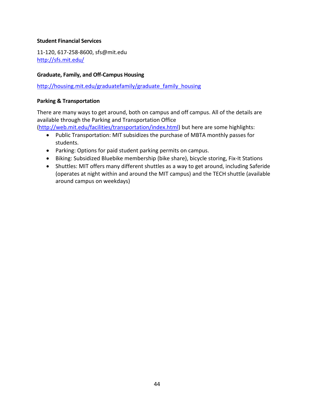#### **Student Financial Services**

11-120, 617-258-8600, sfs@mit.edu http://sfs.mit.edu/

#### **Graduate, Family, and Off-Campus Housing**

http://housing.mit.edu/graduatefamily/graduate\_family\_housing

#### **Parking & Transportation**

There are many ways to get around, both on campus and off campus. All of the details are available through the Parking and Transportation Office

(http://web.mit.edu/facilities/transportation/index.html) but here are some highlights:

- Public Transportation: MIT subsidizes the purchase of MBTA monthly passes for students.
- Parking: Options for paid student parking permits on campus.
- Biking: Subsidized Bluebike membership (bike share), bicycle storing, Fix-It Stations
- Shuttles: MIT offers many different shuttles as a way to get around, including Saferide (operates at night within and around the MIT campus) and the TECH shuttle (available around campus on weekdays)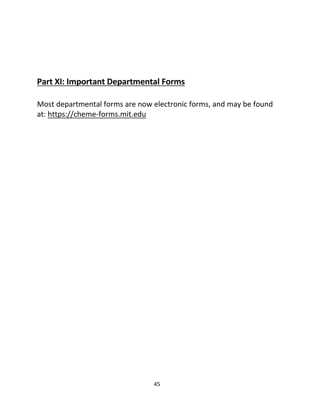## **Part XI: Important Departmental Forms**

Most departmental forms are now electronic forms, and may be found at: https://cheme-forms.mit.edu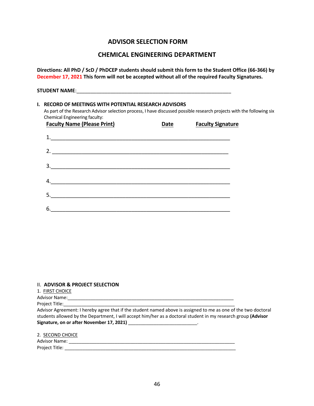#### **ADVISOR SELECTION FORM**

#### **CHEMICAL ENGINEERING DEPARTMENT**

**Directions: All PhD / ScD / PhDCEP students should submit this form to the Student Office (66-366) by December 17, 2021 This form will not be accepted without all of the required Faculty Signatures.**

| <b>I. RECORD OF MEETINGS WITH POTENTIAL RESEARCH ADVISORS</b><br>As part of the Research Advisor selection process, I have discussed possible research projects with the following six<br>Chemical Engineering faculty: |             |                          |  |
|-------------------------------------------------------------------------------------------------------------------------------------------------------------------------------------------------------------------------|-------------|--------------------------|--|
| <b>Faculty Name (Please Print)</b>                                                                                                                                                                                      | <b>Date</b> | <b>Faculty Signature</b> |  |
| 1.                                                                                                                                                                                                                      |             |                          |  |
|                                                                                                                                                                                                                         |             |                          |  |
| 3.<br><u> 1980 - Johann Barn, mars ar yn y brening yn y brening yn y brening y brening yn y brening yn y brening yn y b</u>                                                                                             |             |                          |  |
| <u> 1989 - Johann Stoff, deutscher Stoff, der Stoff, der Stoff, der Stoff, der Stoff, der Stoff, der Stoff, der S</u>                                                                                                   |             |                          |  |
| 5.                                                                                                                                                                                                                      |             |                          |  |
| 6.                                                                                                                                                                                                                      |             |                          |  |

#### II. **ADVISOR & PROJECT SELECTION**

1. FIRST CHOICE

Advisor Name:

Project Title:

Advisor Agreement: I hereby agree that if the student named above is assigned to me as one of the two doctoral students allowed by the Department, I will accept him/her as a doctoral student in my research group **(Advisor Signature, on or after November 17, 2021)** \_\_\_\_\_\_\_\_\_\_\_\_\_\_\_\_\_\_\_\_\_\_\_\_\_\_\_.

|--|

| Advisor Name:    |  |  |
|------------------|--|--|
| Project Title: J |  |  |
|                  |  |  |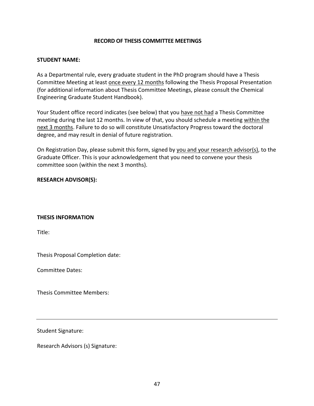#### **RECORD OF THESIS COMMITTEE MEETINGS**

#### **STUDENT NAME:**

As a Departmental rule, every graduate student in the PhD program should have a Thesis Committee Meeting at least once every 12 months following the Thesis Proposal Presentation (for additional information about Thesis Committee Meetings, please consult the Chemical Engineering Graduate Student Handbook).

Your Student office record indicates (see below) that you have not had a Thesis Committee meeting during the last 12 months. In view of that, you should schedule a meeting within the next 3 months. Failure to do so will constitute Unsatisfactory Progress toward the doctoral degree, and may result in denial of future registration.

On Registration Day, please submit this form, signed by you and your research advisor(s), to the Graduate Officer. This is your acknowledgement that you need to convene your thesis committee soon (within the next 3 months).

#### **RESEARCH ADVISOR(S):**

#### **THESIS INFORMATION**

Title:

Thesis Proposal Completion date:

Committee Dates:

Thesis Committee Members:

Student Signature:

Research Advisors (s) Signature: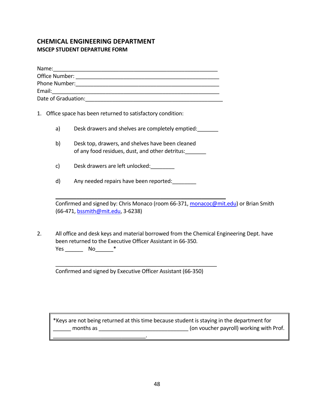#### **CHEMICAL ENGINEERING DEPARTMENT MSCEP STUDENT DEPARTURE FORM**

| Name:               |  |
|---------------------|--|
| Office Number:      |  |
| Phone Number:       |  |
| Email:              |  |
| Date of Graduation: |  |

- 1. Office space has been returned to satisfactory condition:
	- a) Desk drawers and shelves are completely emptied:

\_\_\_\_\_\_\_\_\_\_\_\_\_\_\_\_\_\_\_\_\_\_\_\_\_\_\_\_\_\_\_\_\_\_\_\_\_\_\_\_\_\_\_\_\_\_\_\_\_\_\_\_\_\_\_\_\_

- b) Desk top, drawers, and shelves have been cleaned of any food residues, dust, and other detritus:\_\_\_\_\_\_\_
- c) Desk drawers are left unlocked:
- d) Any needed repairs have been reported:

Confirmed and signed by: Chris Monaco (room 66-371, monacoc@mit.edu) or Brian Smith (66-471, bssmith@mit.edu, 3-6238)

2. All office and desk keys and material borrowed from the Chemical Engineering Dept. have been returned to the Executive Officer Assistant in 66-350. Yes \_\_\_\_\_\_\_\_\_\_ No\_\_\_\_\_\_\_\_\_\_\*

Confirmed and signed by Executive Officer Assistant (66-350)

\_\_\_\_\_\_\_\_\_\_\_\_\_\_\_\_\_\_\_\_\_\_\_\_\_\_\_\_\_\_\_.

\_\_\_\_\_\_\_\_\_\_\_\_\_\_\_\_\_\_\_\_\_\_\_\_\_\_\_\_\_\_\_\_\_\_\_\_\_\_\_\_\_\_\_\_\_\_\_\_\_\_\_\_\_\_

\*Keys are not being returned at this time because student is staying in the department for months as  $\blacksquare$  months as  $\blacksquare$